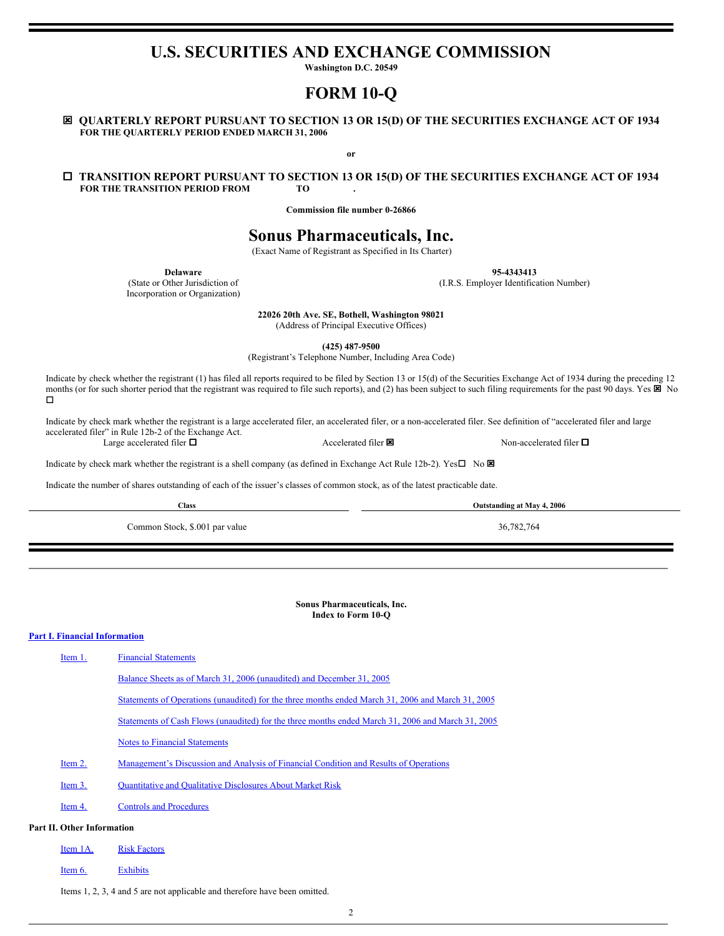# **U.S. SECURITIES AND EXCHANGE COMMISSION**

**Washington D.C. 20549**

**FORM 10-Q**

## ý **QUARTERLY REPORT PURSUANT TO SECTION 13 OR 15(D) OF THE SECURITIES EXCHANGE ACT OF 1934 FOR THE QUARTERLY PERIOD ENDED MARCH 31, 2006**

**or**

## o **TRANSITION REPORT PURSUANT TO SECTION 13 OR 15(D) OF THE SECURITIES EXCHANGE ACT OF 1934 FOR THE TRANSITION PERIOD FROM**

**Commission file number 0-26866**

# **Sonus Pharmaceuticals, Inc.**

(Exact Name of Registrant as Specified in Its Charter)

Incorporation or Organization)

**Delaware 95-4343413**

(State or Other Jurisdiction of (I.R.S. Employer Identification Number)

**22026 20th Ave. SE, Bothell, Washington 98021**

(Address of Principal Executive Offices)

**(425) 487-9500**

(Registrant's Telephone Number, Including Area Code)

Indicate by check whether the registrant (1) has filed all reports required to be filed by Section 13 or 15(d) of the Securities Exchange Act of 1934 during the preceding 12 months (or for such shorter period that the registrant was required to file such reports), and (2) has been subject to such filing requirements for the past 90 days. Yes  $\boxtimes$  No  $\Box$ 

Indicate by check mark whether the registrant is a large accelerated filer, an accelerated filer, or a non-accelerated filer. See definition of "accelerated filer and large accelerated filer" in Rule 12b-2 of the Exchange Act.

Large accelerated filer  $\square$  Accelerated filer  $\square$  Accelerated filer  $\square$  Non-accelerated filer  $\square$ 

Indicate by check mark whether the registrant is a shell company (as defined in Exchange Act Rule 12b-2). Yes $\square$  No  $\boxtimes$ 

Indicate the number of shares outstanding of each of the issuer's classes of common stock, as of the latest practicable date.

Common Stock, \$.001 par value 36,782,764

**Sonus Pharmaceuticals, Inc. Index to Form 10-Q**

#### **Part I. Financial [Information](#page-1-0)**

| Item 1.               | <b>Financial Statements</b>                                                                       |
|-----------------------|---------------------------------------------------------------------------------------------------|
|                       | Balance Sheets as of March 31, 2006 (unaudited) and December 31, 2005                             |
|                       | Statements of Operations (unaudited) for the three months ended March 31, 2006 and March 31, 2005 |
|                       | Statements of Cash Flows (unaudited) for the three months ended March 31, 2006 and March 31, 2005 |
|                       | <b>Notes to Financial Statements</b>                                                              |
| Item 2.               | Management's Discussion and Analysis of Financial Condition and Results of Operations             |
| Item 3.               | <b>Quantitative and Qualitative Disclosures About Market Risk</b>                                 |
| Item 4.               | <b>Controls and Procedures</b>                                                                    |
| II. Other Information |                                                                                                   |
| Item 1A.              | <b>Risk Factors</b>                                                                               |
|                       |                                                                                                   |

[Item](#page-15-0) 6. [Exhibits](#page-15-0)

**Part** 

Items 1, 2, 3, 4 and 5 are not applicable and therefore have been omitted.

**Class Outstanding at May 4, 2006**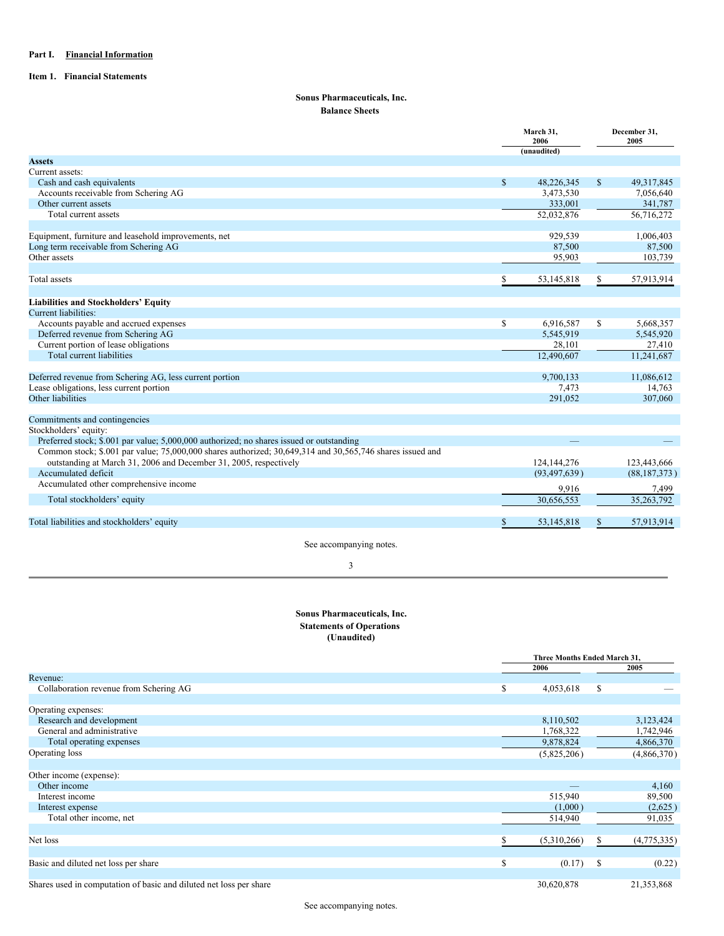## <span id="page-1-0"></span>**Part I. Financial Information**

## <span id="page-1-1"></span>**Item 1. Financial Statements**

## <span id="page-1-2"></span>**Sonus Pharmaceuticals, Inc. Balance Sheets**

|                                                                                                                                                                                | March 31,<br>2006<br>(unaudited) |                | December 31,<br>2005 |
|--------------------------------------------------------------------------------------------------------------------------------------------------------------------------------|----------------------------------|----------------|----------------------|
| <b>Assets</b>                                                                                                                                                                  |                                  |                |                      |
| Current assets:                                                                                                                                                                |                                  |                |                      |
| Cash and cash equivalents                                                                                                                                                      | <sup>\$</sup>                    | 48,226,345     | \$<br>49,317,845     |
| Accounts receivable from Schering AG                                                                                                                                           |                                  | 3,473,530      | 7,056,640            |
| Other current assets                                                                                                                                                           |                                  | 333,001        | 341,787              |
| Total current assets                                                                                                                                                           |                                  | 52,032,876     | 56,716,272           |
| Equipment, furniture and leasehold improvements, net                                                                                                                           |                                  | 929,539        | 1,006,403            |
| Long term receivable from Schering AG                                                                                                                                          |                                  | 87,500         | 87,500               |
| Other assets                                                                                                                                                                   |                                  | 95.903         | 103,739              |
| Total assets                                                                                                                                                                   |                                  | 53,145,818     | \$<br>57,913,914     |
| <b>Liabilities and Stockholders' Equity</b>                                                                                                                                    |                                  |                |                      |
| Current liabilities:                                                                                                                                                           |                                  |                |                      |
| Accounts payable and accrued expenses                                                                                                                                          | $\mathbb{S}$                     | 6,916,587      | \$<br>5,668,357      |
| Deferred revenue from Schering AG                                                                                                                                              |                                  | 5,545,919      | 5,545,920            |
| Current portion of lease obligations                                                                                                                                           |                                  | 28,101         | 27,410               |
| <b>Total current liabilities</b>                                                                                                                                               |                                  | 12,490,607     | 11,241,687           |
| Deferred revenue from Schering AG, less current portion                                                                                                                        |                                  | 9,700,133      | 11,086,612           |
| Lease obligations, less current portion                                                                                                                                        |                                  | 7,473          | 14,763               |
| Other liabilities                                                                                                                                                              |                                  | 291,052        | 307,060              |
| Commitments and contingencies                                                                                                                                                  |                                  |                |                      |
| Stockholders' equity:                                                                                                                                                          |                                  |                |                      |
| Preferred stock; \$.001 par value; 5,000,000 authorized; no shares issued or outstanding                                                                                       |                                  |                |                      |
| Common stock; \$.001 par value; 75,000,000 shares authorized; 30,649,314 and 30,565,746 shares issued and<br>outstanding at March 31, 2006 and December 31, 2005, respectively |                                  | 124, 144, 276  | 123,443,666          |
| Accumulated deficit                                                                                                                                                            |                                  | (93, 497, 639) | (88, 187, 373)       |
| Accumulated other comprehensive income                                                                                                                                         |                                  |                |                      |
|                                                                                                                                                                                |                                  | 9,916          | 7,499                |
| Total stockholders' equity                                                                                                                                                     |                                  | 30.656.553     | 35.263.792           |
| Total liabilities and stockholders' equity                                                                                                                                     | S                                | 53,145,818     | \$<br>57,913,914     |
|                                                                                                                                                                                |                                  |                |                      |

See accompanying notes.

<span id="page-1-3"></span>3

## **Sonus Pharmaceuticals, Inc. Statements of Operations (Unaudited)**

|                                                                    |                 | Three Months Ended March 31, |             |  |
|--------------------------------------------------------------------|-----------------|------------------------------|-------------|--|
|                                                                    | 2006            |                              | 2005        |  |
| Revenue:                                                           |                 |                              |             |  |
| Collaboration revenue from Schering AG                             | \$<br>4,053,618 | \$                           |             |  |
|                                                                    |                 |                              |             |  |
| Operating expenses:                                                |                 |                              |             |  |
| Research and development                                           | 8,110,502       |                              | 3,123,424   |  |
| General and administrative                                         | 1,768,322       |                              | 1,742,946   |  |
| Total operating expenses                                           | 9,878,824       |                              | 4,866,370   |  |
| Operating loss                                                     | (5,825,206)     |                              | (4,866,370) |  |
|                                                                    |                 |                              |             |  |
| Other income (expense):                                            |                 |                              |             |  |
| Other income                                                       |                 |                              | 4,160       |  |
| Interest income                                                    | 515,940         |                              | 89,500      |  |
| Interest expense                                                   |                 | (1,000)                      | (2,625)     |  |
| Total other income, net                                            | 514,940         |                              | 91,035      |  |
|                                                                    |                 |                              |             |  |
| Net loss                                                           | (5,310,266)     | S                            | (4,775,335) |  |
|                                                                    |                 |                              |             |  |
| Basic and diluted net loss per share                               | S               | (0.17)<br><sup>\$</sup>      | (0.22)      |  |
|                                                                    |                 |                              |             |  |
| Shares used in computation of basic and diluted net loss per share | 30,620,878      |                              | 21,353,868  |  |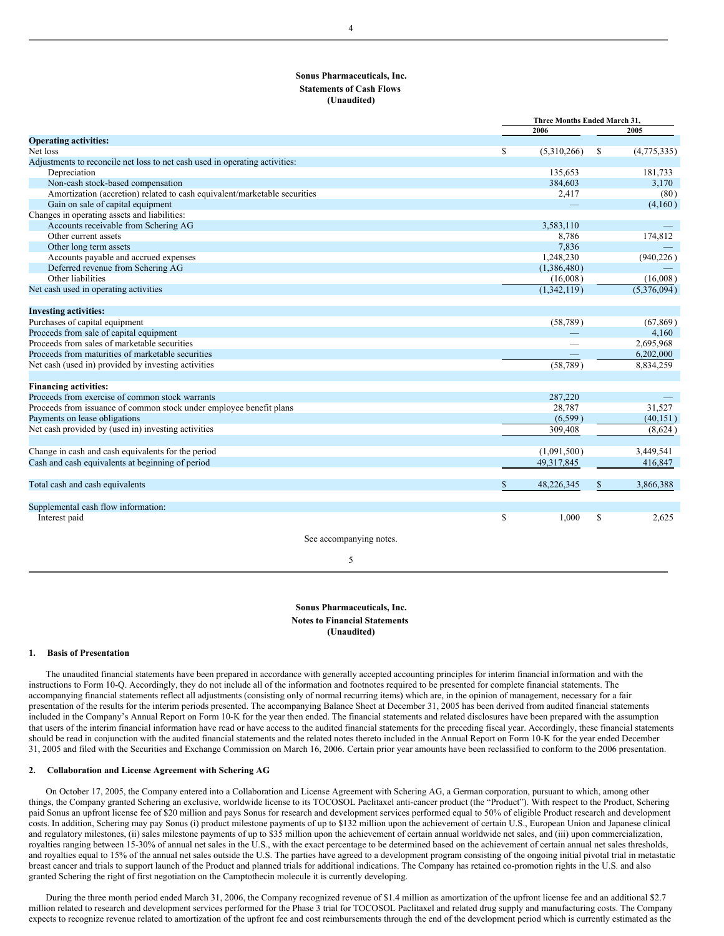## <span id="page-2-0"></span>**Sonus Pharmaceuticals, Inc. Statements of Cash Flows (Unaudited)**

|                                                                             |   | Three Months Ended March 31, |    |             |
|-----------------------------------------------------------------------------|---|------------------------------|----|-------------|
|                                                                             |   | 2006                         |    | 2005        |
| <b>Operating activities:</b>                                                |   |                              |    |             |
| Net loss                                                                    | S | (5,310,266)                  | S. | (4,775,335) |
| Adjustments to reconcile net loss to net cash used in operating activities: |   |                              |    |             |
| Depreciation                                                                |   | 135,653                      |    | 181.733     |
| Non-cash stock-based compensation                                           |   | 384,603                      |    | 3,170       |
| Amortization (accretion) related to cash equivalent/marketable securities   |   | 2,417                        |    | (80)        |
| Gain on sale of capital equipment                                           |   |                              |    | (4,160)     |
| Changes in operating assets and liabilities:                                |   |                              |    |             |
| Accounts receivable from Schering AG                                        |   | 3,583,110                    |    |             |
| Other current assets                                                        |   | 8,786                        |    | 174,812     |
| Other long term assets                                                      |   | 7,836                        |    |             |
| Accounts payable and accrued expenses                                       |   | 1,248,230                    |    | (940, 226)  |
| Deferred revenue from Schering AG                                           |   | (1,386,480)                  |    |             |
| Other liabilities                                                           |   | (16,008)                     |    | (16,008)    |
| Net cash used in operating activities                                       |   | (1,342,119)                  |    | (5,376,094) |
|                                                                             |   |                              |    |             |
| <b>Investing activities:</b>                                                |   |                              |    |             |
| Purchases of capital equipment                                              |   | (58, 789)                    |    | (67, 869)   |
| Proceeds from sale of capital equipment                                     |   |                              |    | 4,160       |
| Proceeds from sales of marketable securities                                |   |                              |    | 2,695,968   |
| Proceeds from maturities of marketable securities                           |   |                              |    | 6,202,000   |
| Net cash (used in) provided by investing activities                         |   | (58, 789)                    |    | 8,834,259   |
|                                                                             |   |                              |    |             |
| <b>Financing activities:</b>                                                |   |                              |    |             |
| Proceeds from exercise of common stock warrants                             |   | 287,220                      |    |             |
| Proceeds from issuance of common stock under employee benefit plans         |   | 28,787                       |    | 31,527      |
| Payments on lease obligations                                               |   | (6, 599)                     |    | (40, 151)   |
| Net cash provided by (used in) investing activities                         |   | 309,408                      |    | (8,624)     |
|                                                                             |   |                              |    |             |
| Change in cash and cash equivalents for the period                          |   | (1,091,500)                  |    | 3,449,541   |
| Cash and cash equivalents at beginning of period                            |   | 49,317,845                   |    | 416,847     |
|                                                                             |   |                              |    |             |
| Total cash and cash equivalents                                             |   | 48,226,345                   | \$ | 3,866,388   |
| Supplemental cash flow information:                                         |   |                              |    |             |
| Interest paid                                                               | S | 1,000                        | \$ | 2,625       |
| See accompanying notes.                                                     |   |                              |    |             |
|                                                                             |   |                              |    |             |

<span id="page-2-1"></span>5

**Sonus Pharmaceuticals, Inc. Notes to Financial Statements (Unaudited)**

#### **1. Basis of Presentation**

The unaudited financial statements have been prepared in accordance with generally accepted accounting principles for interim financial information and with the instructions to Form 10-Q. Accordingly, they do not include all of the information and footnotes required to be presented for complete financial statements. The accompanying financial statements reflect all adjustments (consisting only of normal recurring items) which are, in the opinion of management, necessary for a fair presentation of the results for the interim periods presented. The accompanying Balance Sheet at December 31, 2005 has been derived from audited financial statements included in the Company's Annual Report on Form 10-K for the year then ended. The financial statements and related disclosures have been prepared with the assumption that users of the interim financial information have read or have access to the audited financial statements for the preceding fiscal year. Accordingly, these financial statements should be read in conjunction with the audited financial statements and the related notes thereto included in the Annual Report on Form 10-K for the year ended December 31, 2005 and filed with the Securities and Exchange Commission on March 16, 2006. Certain prior year amounts have been reclassified to conform to the 2006 presentation.

#### **2. Collaboration and License Agreement with Schering AG**

On October 17, 2005, the Company entered into a Collaboration and License Agreement with Schering AG, a German corporation, pursuant to which, among other things, the Company granted Schering an exclusive, worldwide license to its TOCOSOL Paclitaxel anti-cancer product (the "Product"). With respect to the Product, Schering paid Sonus an upfront license fee of \$20 million and pays Sonus for research and development services performed equal to 50% of eligible Product research and development costs. In addition, Schering may pay Sonus (i) product milestone payments of up to \$132 million upon the achievement of certain U.S., European Union and Japanese clinical and regulatory milestones, (ii) sales milestone payments of up to \$35 million upon the achievement of certain annual worldwide net sales, and (iii) upon commercialization, royalties ranging between 15-30% of annual net sales in the U.S., with the exact percentage to be determined based on the achievement of certain annual net sales thresholds, and royalties equal to 15% of the annual net sales outside the U.S. The parties have agreed to a development program consisting of the ongoing initial pivotal trial in metastatic breast cancer and trials to support launch of the Product and planned trials for additional indications. The Company has retained co-promotion rights in the U.S. and also granted Schering the right of first negotiation on the Camptothecin molecule it is currently developing.

During the three month period ended March 31, 2006, the Company recognized revenue of \$1.4 million as amortization of the upfront license fee and an additional \$2.7 million related to research and development services performed for the Phase 3 trial for TOCOSOL Paclitaxel and related drug supply and manufacturing costs. The Company expects to recognize revenue related to amortization of the upfront fee and cost reimbursements through the end of the development period which is currently estimated as the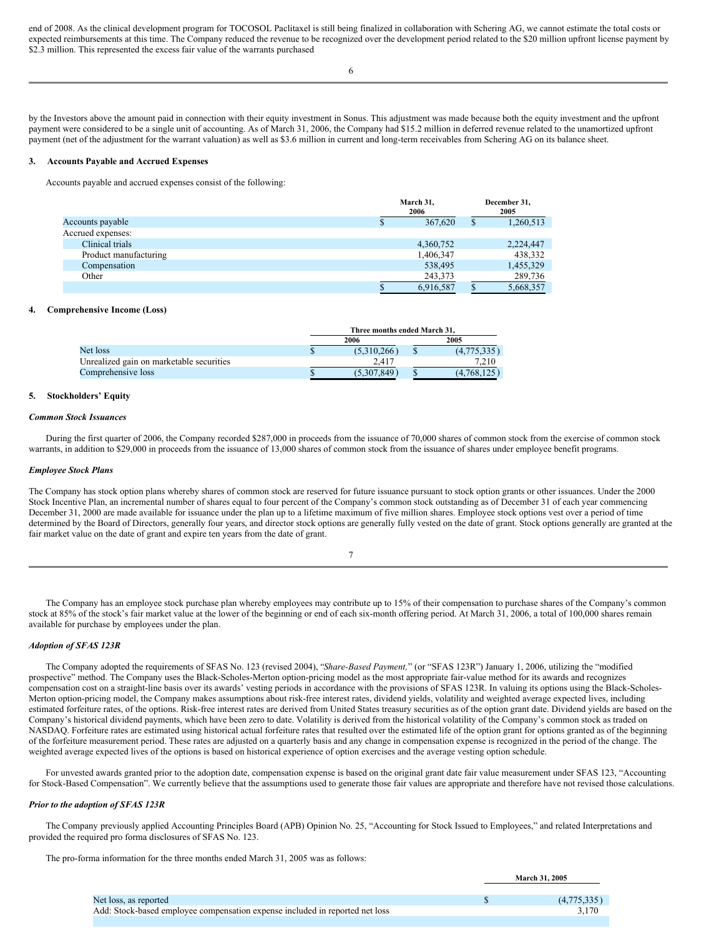end of 2008. As the clinical development program for TOCOSOL Paclitaxel is still being finalized in collaboration with Schering AG, we cannot estimate the total costs or expected reimbursements at this time. The Company reduced the revenue to be recognized over the development period related to the \$20 million upfront license payment by \$2.3 million. This represented the excess fair value of the warrants purchased

by the Investors above the amount paid in connection with their equity investment in Sonus. This adjustment was made because both the equity investment and the upfront payment were considered to be a single unit of accounting. As of March 31, 2006, the Company had \$15.2 million in deferred revenue related to the unamortized upfront payment (net of the adjustment for the warrant valuation) as well as \$3.6 million in current and long-term receivables from Schering AG on its balance sheet.

#### **3. Accounts Payable and Accrued Expenses**

Accounts payable and accrued expenses consist of the following:

|                       |  | March 31,<br>2006 |   | December 31,<br>2005 |
|-----------------------|--|-------------------|---|----------------------|
| Accounts payable      |  | 367,620           | S | 1,260,513            |
| Accrued expenses:     |  |                   |   |                      |
| Clinical trials       |  | 4,360,752         |   | 2,224,447            |
| Product manufacturing |  | 1,406,347         |   | 438,332              |
| Compensation          |  | 538,495           |   | 1,455,329            |
| Other                 |  | 243,373           |   | 289,736              |
|                       |  | 6.916.587         |   | 5.668.357            |

#### **4. Comprehensive Income (Loss)**

|                                          | Three months ended March 31. |  |             |
|------------------------------------------|------------------------------|--|-------------|
|                                          | 2006<br>2005                 |  |             |
| Net loss                                 | (5,310,266)                  |  | (4,775,335) |
| Unrealized gain on marketable securities | 2.417                        |  | 7.210       |
| Comprehensive loss                       | (5.307.849)                  |  | (4.768.125  |

#### **5. Stockholders' Equity**

#### *Common Stock Issuances*

During the first quarter of 2006, the Company recorded \$287,000 in proceeds from the issuance of 70,000 shares of common stock from the exercise of common stock warrants, in addition to \$29,000 in proceeds from the issuance of 13,000 shares of common stock from the issuance of shares under employee benefit programs.

#### *Employee Stock Plans*

The Company has stock option plans whereby shares of common stock are reserved for future issuance pursuant to stock option grants or other issuances. Under the 2000 Stock Incentive Plan, an incremental number of shares equal to four percent of the Company's common stock outstanding as of December 31 of each year commencing December 31, 2000 are made available for issuance under the plan up to a lifetime maximum of five million shares. Employee stock options vest over a period of time determined by the Board of Directors, generally four years, and director stock options are generally fully vested on the date of grant. Stock options generally are granted at the fair market value on the date of grant and expire ten years from the date of grant.

The Company has an employee stock purchase plan whereby employees may contribute up to 15% of their compensation to purchase shares of the Company's common stock at 85% of the stock's fair market value at the lower of the beginning or end of each six-month offering period. At March 31, 2006, a total of 100,000 shares remain available for purchase by employees under the plan.

#### *Adoption of SFAS 123R*

The Company adopted the requirements of SFAS No. 123 (revised 2004), "*Share-Based Payment,*" (or "SFAS 123R") January 1, 2006, utilizing the "modified prospective" method. The Company uses the Black-Scholes-Merton option-pricing model as the most appropriate fair-value method for its awards and recognizes compensation cost on a straight-line basis over its awards' vesting periods in accordance with the provisions of SFAS 123R. In valuing its options using the Black-Scholes-Merton option-pricing model, the Company makes assumptions about risk-free interest rates, dividend yields, volatility and weighted average expected lives, including estimated forfeiture rates, of the options. Risk-free interest rates are derived from United States treasury securities as of the option grant date. Dividend yields are based on the Company's historical dividend payments, which have been zero to date. Volatility is derived from the historical volatility of the Company's common stock as traded on NASDAQ. Forfeiture rates are estimated using historical actual forfeiture rates that resulted over the estimated life of the option grant for options granted as of the beginning of the forfeiture measurement period. These rates are adjusted on a quarterly basis and any change in compensation expense is recognized in the period of the change. The weighted average expected lives of the options is based on historical experience of option exercises and the average vesting option schedule.

For unvested awards granted prior to the adoption date, compensation expense is based on the original grant date fair value measurement under SFAS 123, "Accounting for Stock-Based Compensation". We currently believe that the assumptions used to generate those fair values are appropriate and therefore have not revised those calculations.

#### *Prior to the adoption of SFAS 123R*

The Company previously applied Accounting Principles Board (APB) Opinion No. 25, "Accounting for Stock Issued to Employees," and related Interpretations and provided the required pro forma disclosures of SFAS No. 123.

The pro-forma information for the three months ended March 31, 2005 was as follows:

**March 31, 2005**

| Net loss, as reported                                                        | (4.775.335) |
|------------------------------------------------------------------------------|-------------|
| Add: Stock-based employee compensation expense included in reported net loss | 3.170       |
|                                                                              |             |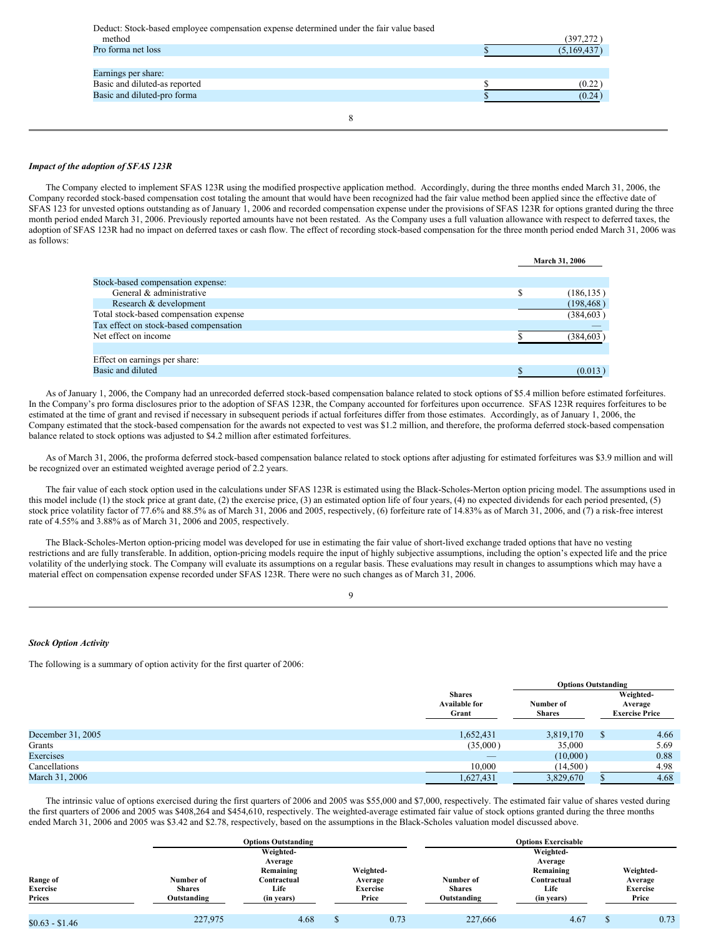Deduct: Stock-based employee compensation expense determined under the fair value based

| --<br>method                  |  | (397, 272)  |
|-------------------------------|--|-------------|
| Pro forma net loss            |  | (5,169,437) |
|                               |  |             |
| Earnings per share:           |  |             |
| Basic and diluted-as reported |  | (0.22)      |
| Basic and diluted-pro forma   |  | (0.24)      |
|                               |  |             |
|                               |  |             |
|                               |  |             |

#### *Impact of the adoption of SFAS 123R*

The Company elected to implement SFAS 123R using the modified prospective application method. Accordingly, during the three months ended March 31, 2006, the Company recorded stock-based compensation cost totaling the amount that would have been recognized had the fair value method been applied since the effective date of SFAS 123 for unvested options outstanding as of January 1, 2006 and recorded compensation expense under the provisions of SFAS 123R for options granted during the three month period ended March 31, 2006. Previously reported amounts have not been restated. As the Company uses a full valuation allowance with respect to deferred taxes, the adoption of SFAS 123R had no impact on deferred taxes or cash flow. The effect of recording stock-based compensation for the three month period ended March 31, 2006 was as follows:

|                                        | March 31, 2006 |
|----------------------------------------|----------------|
|                                        |                |
| Stock-based compensation expense:      |                |
| General & administrative               | (186, 135)     |
| Research & development                 | (198, 468)     |
| Total stock-based compensation expense | (384, 603)     |
| Tax effect on stock-based compensation |                |
| Net effect on income                   | (384, 603)     |
|                                        |                |
| Effect on earnings per share:          |                |
| Basic and diluted                      | (0.013)        |

As of January 1, 2006, the Company had an unrecorded deferred stock-based compensation balance related to stock options of \$5.4 million before estimated forfeitures. In the Company's pro forma disclosures prior to the adoption of SFAS 123R, the Company accounted for forfeitures upon occurrence. SFAS 123R requires forfeitures to be estimated at the time of grant and revised if necessary in subsequent periods if actual forfeitures differ from those estimates. Accordingly, as of January 1, 2006, the Company estimated that the stock-based compensation for the awards not expected to vest was \$1.2 million, and therefore, the proforma deferred stock-based compensation balance related to stock options was adjusted to \$4.2 million after estimated forfeitures.

As of March 31, 2006, the proforma deferred stock-based compensation balance related to stock options after adjusting for estimated forfeitures was \$3.9 million and will be recognized over an estimated weighted average period of 2.2 years.

The fair value of each stock option used in the calculations under SFAS 123R is estimated using the Black-Scholes-Merton option pricing model. The assumptions used in this model include (1) the stock price at grant date, (2) the exercise price, (3) an estimated option life of four years, (4) no expected dividends for each period presented, (5) stock price volatility factor of 77.6% and 88.5% as of March 31, 2006 and 2005, respectively, (6) forfeiture rate of 14.83% as of March 31, 2006, and (7) a risk-free interest rate of 4.55% and 3.88% as of March 31, 2006 and 2005, respectively.

The Black-Scholes-Merton option-pricing model was developed for use in estimating the fair value of short-lived exchange traded options that have no vesting restrictions and are fully transferable. In addition, option-pricing models require the input of highly subjective assumptions, including the option's expected life and the price volatility of the underlying stock. The Company will evaluate its assumptions on a regular basis. These evaluations may result in changes to assumptions which may have a material effect on compensation expense recorded under SFAS 123R. There were no such changes as of March 31, 2006.

9

## *Stock Option Activity*

The following is a summary of option activity for the first quarter of 2006:

|                   |                                                | <b>Options Outstanding</b> |   |                                               |
|-------------------|------------------------------------------------|----------------------------|---|-----------------------------------------------|
|                   | <b>Shares</b><br><b>Available for</b><br>Grant |                            |   | Weighted-<br>Average<br><b>Exercise Price</b> |
| December 31, 2005 | 1,652,431                                      | 3,819,170                  | S | 4.66                                          |
| Grants            | (35,000)                                       | 35,000                     |   | 5.69                                          |
| Exercises         | $\overline{\phantom{a}}$                       | (10,000)                   |   | 0.88                                          |
| Cancellations     | 10,000                                         | (14,500)                   |   | 4.98                                          |
| March 31, 2006    | 1,627,431                                      | 3,829,670                  |   | 4.68                                          |

The intrinsic value of options exercised during the first quarters of 2006 and 2005 was \$55,000 and \$7,000, respectively. The estimated fair value of shares vested during the first quarters of 2006 and 2005 was \$408,264 and \$454,610, respectively. The weighted-average estimated fair value of stock options granted during the three months ended March 31, 2006 and 2005 was \$3.42 and \$2.78, respectively, based on the assumptions in the Black-Scholes valuation model discussed above.

|                             |                            | <b>Options Outstanding</b>                               |   |                                         | <b>Options Exercisable</b> |                                                          |  |                                         |  |  |  |
|-----------------------------|----------------------------|----------------------------------------------------------|---|-----------------------------------------|----------------------------|----------------------------------------------------------|--|-----------------------------------------|--|--|--|
| Range of<br><b>Exercise</b> | Number of<br><b>Shares</b> | Weighted-<br>Average<br>Remaining<br>Contractual<br>Life |   | Weighted-<br>Average<br><b>Exercise</b> | Number of<br><b>Shares</b> | Weighted-<br>Average<br>Remaining<br>Contractual<br>Life |  | Weighted-<br>Average<br><b>Exercise</b> |  |  |  |
| Prices                      | Outstanding                | (in years)                                               |   | Price                                   | Outstanding                | (in years)                                               |  | Price                                   |  |  |  |
| $$0.63 - $1.46$             | 227,975                    | 4.68                                                     | D | 0.73                                    | 227,666                    | 4.67                                                     |  | 0.73                                    |  |  |  |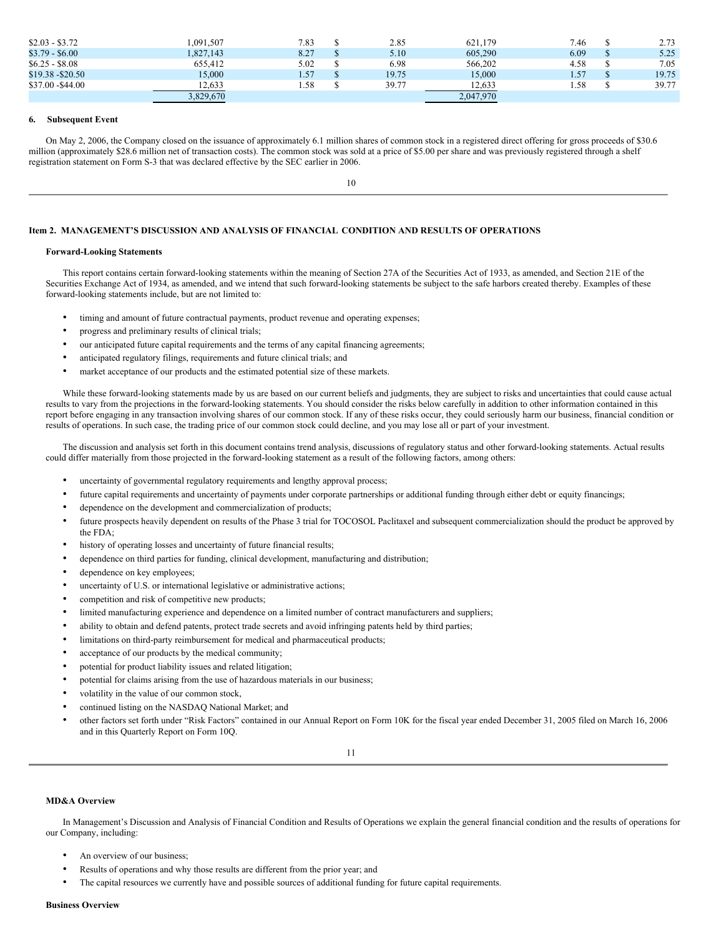| $$2.03 - $3.72$   | ,091,507  | 7.83 | 2.85  | 621.179   | 7.46   | 2.73  |
|-------------------|-----------|------|-------|-----------|--------|-------|
| $$3.79 - $6.00$   | .827.143  | 8.27 | 5.10  | 605,290   | 6.09   | 5.25  |
| $$6.25 - $8.08$$  | 655.412   | 5.02 | 6.98  | 566,202   | 4.58   | 7.05  |
| \$19.38 - \$20.50 | 15,000    | 1.57 | 19.75 | 15.000    | 1.57   | 19.75 |
| \$37.00 - \$44.00 | 12.633    | .58  | 39.77 | 12.633    | . . 58 | 39.77 |
|                   | 3,829,670 |      |       | 2,047,970 |        |       |

### **6. Subsequent Event**

On May 2, 2006, the Company closed on the issuance of approximately 6.1 million shares of common stock in a registered direct offering for gross proceeds of \$30.6 million (approximately \$28.6 million net of transaction costs). The common stock was sold at a price of \$5.00 per share and was previously registered through a shelf registration statement on Form S-3 that was declared effective by the SEC earlier in 2006.

<span id="page-5-0"></span>10

#### **Item 2. MANAGEMENT'S DISCUSSION AND ANALYSIS OF FINANCIAL CONDITION AND RESULTS OF OPERATIONS**

#### **Forward-Looking Statements**

This report contains certain forward-looking statements within the meaning of Section 27A of the Securities Act of 1933, as amended, and Section 21E of the Securities Exchange Act of 1934, as amended, and we intend that such forward-looking statements be subject to the safe harbors created thereby. Examples of these forward-looking statements include, but are not limited to:

- timing and amount of future contractual payments, product revenue and operating expenses;
- progress and preliminary results of clinical trials;
- our anticipated future capital requirements and the terms of any capital financing agreements;
- anticipated regulatory filings, requirements and future clinical trials; and
- market acceptance of our products and the estimated potential size of these markets.

While these forward-looking statements made by us are based on our current beliefs and judgments, they are subject to risks and uncertainties that could cause actual results to vary from the projections in the forward-looking statements. You should consider the risks below carefully in addition to other information contained in this report before engaging in any transaction involving shares of our common stock. If any of these risks occur, they could seriously harm our business, financial condition or results of operations. In such case, the trading price of our common stock could decline, and you may lose all or part of your investment.

The discussion and analysis set forth in this document contains trend analysis, discussions of regulatory status and other forward-looking statements. Actual results could differ materially from those projected in the forward-looking statement as a result of the following factors, among others:

- uncertainty of governmental regulatory requirements and lengthy approval process;
- future capital requirements and uncertainty of payments under corporate partnerships or additional funding through either debt or equity financings;
- dependence on the development and commercialization of products;
- future prospects heavily dependent on results of the Phase 3 trial for TOCOSOL Paclitaxel and subsequent commercialization should the product be approved by the FDA;
- history of operating losses and uncertainty of future financial results;
- dependence on third parties for funding, clinical development, manufacturing and distribution;
- dependence on key employees;
- uncertainty of U.S. or international legislative or administrative actions;
- competition and risk of competitive new products;
- limited manufacturing experience and dependence on a limited number of contract manufacturers and suppliers;
- ability to obtain and defend patents, protect trade secrets and avoid infringing patents held by third parties;
- limitations on third-party reimbursement for medical and pharmaceutical products;
- acceptance of our products by the medical community;
- potential for product liability issues and related litigation;
- potential for claims arising from the use of hazardous materials in our business;
- volatility in the value of our common stock,
- continued listing on the NASDAQ National Market; and
- other factors set forth under "Risk Factors" contained in our Annual Report on Form 10K for the fiscal year ended December 31, 2005 filed on March 16, 2006 and in this Quarterly Report on Form 10Q.

#### **MD&A Overview**

In Management's Discussion and Analysis of Financial Condition and Results of Operations we explain the general financial condition and the results of operations for our Company, including:

- An overview of our business:
- Results of operations and why those results are different from the prior year; and
- The capital resources we currently have and possible sources of additional funding for future capital requirements.

#### **Business Overview**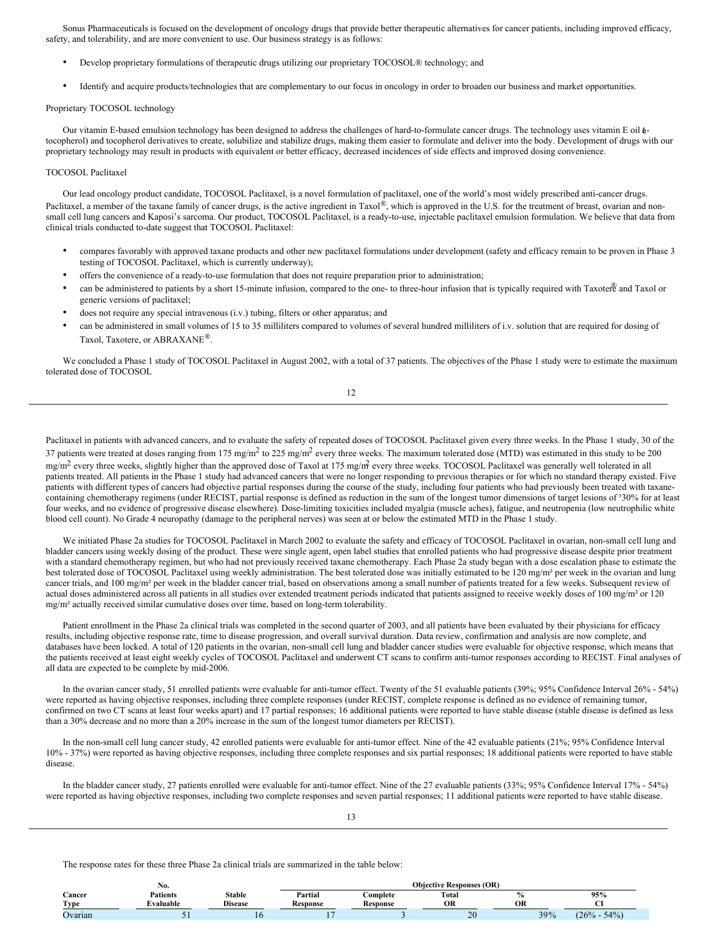Sonus Pharmaceuticals is focused on the development of oncology drugs that provide better therapeutic alternatives for cancer patients, including improved efficacy, safety, and tolerability, and are more convenient to use. Our business strategy is as follows:

- Develop proprietary formulations of therapeutic drugs utilizing our proprietary TOCOSOL® technology; and
- Identify and acquire products/technologies that are complementary to our focus in oncology in order to broaden our business and market opportunities.

#### Proprietary TOCOSOL technology

Our vitamin E-based emulsion technology has been designed to address the challenges of hard-to-formulate cancer drugs. The technology uses vitamin E oil atocopherol) and tocopherol derivatives to create, solubilize and stabilize drugs, making them easier to formulate and deliver into the body. Development of drugs with our proprietary technology may result in products with equivalent or better efficacy, decreased incidences of side effects and improved dosing convenience.

#### TOCOSOL Paclitaxel

Our lead oncology product candidate, TOCOSOL Paclitaxel, is a novel formulation of paclitaxel, one of the world's most widely prescribed anti-cancer drugs. Paclitaxel, a member of the taxane family of cancer drugs, is the active ingredient in Taxol®, which is approved in the U.S. for the treatment of breast, ovarian and nonsmall cell lung cancers and Kaposi's sarcoma. Our product, TOCOSOL Paclitaxel, is a ready-to-use, injectable paclitaxel emulsion formulation. We believe that data from clinical trials conducted to-date suggest that TOCOSOL Paclitaxel:

- compares favorably with approved taxane products and other new paclitaxel formulations under development (safety and efficacy remain to be proven in Phase 3 testing of TOCOSOL Paclitaxel, which is currently underway);
- offers the convenience of a ready-to-use formulation that does not require preparation prior to administration;
- can be administered to patients by a short 15-minute infusion, compared to the one- to three-hour infusion that is typically required with Taxotere® and Taxol or generic versions of paclitaxel;
- does not require any special intravenous (i.v.) tubing, filters or other apparatus; and
- can be administered in small volumes of 15 to 35 milliliters compared to volumes of several hundred milliliters of i.v. solution that are required for dosing of Taxol, Taxotere, or ABRAXANE®.

We concluded a Phase 1 study of TOCOSOL Paclitaxel in August 2002, with a total of 37 patients. The objectives of the Phase 1 study were to estimate the maximum tolerated dose of TOCOSOL

|  | v<br>۰. |
|--|---------|
|  |         |

Paclitaxel in patients with advanced cancers, and to evaluate the safety of repeated doses of TOCOSOL Paclitaxel given every three weeks. In the Phase 1 study, 30 of the 37 patients were treated at doses ranging from 175 mg/m<sup>2</sup> to 225 mg/m<sup>2</sup> every three weeks. The maximum tolerated dose (MTD) was estimated in this study to be 200  $mg/m<sup>2</sup>$  every three weeks, slightly higher than the approved dose of Taxol at 175 mg/m<sup>2</sup> every three weeks. TOCOSOL Paclitaxel was generally well tolerated in all patients treated. All patients in the Phase 1 study had advanced cancers that were no longer responding to previous therapies or for which no standard therapy existed. Five patients with different types of cancers had objective partial responses during the course of the study, including four patients who had previously been treated with taxanecontaining chemotherapy regimens (under RECIST, partial response is defined as reduction in the sum of the longest tumor dimensions of target lesions of 30% for at least four weeks, and no evidence of progressive disease elsewhere). Dose-limiting toxicities included myalgia (muscle aches), fatigue, and neutropenia (low neutrophilic white blood cell count). No Grade 4 neuropathy (damage to the peripheral nerves) was seen at or below the estimated MTD in the Phase 1 study.

We initiated Phase 2a studies for TOCOSOL Paclitaxel in March 2002 to evaluate the safety and efficacy of TOCOSOL Paclitaxel in ovarian, non-small cell lung and bladder cancers using weekly dosing of the product. These were single agent, open label studies that enrolled patients who had progressive disease despite prior treatment with a standard chemotherapy regimen, but who had not previously received taxane chemotherapy. Each Phase 2a study began with a dose escalation phase to estimate the best tolerated dose of TOCOSOL Paclitaxel using weekly administration. The best tolerated dose was initially estimated to be 120 mg/m<sup>2</sup> per week in the ovarian and lung cancer trials, and 100 mg/m<sup>2</sup> per week in the bladder cancer trial, based on observations among a small number of patients treated for a few weeks. Subsequent review of actual doses administered across all patients in all studies over extended treatment periods indicated that patients assigned to receive weekly doses of 100 mg/m<sup>2</sup> or 120 mg/m² actually received similar cumulative doses over time, based on long-term tolerability.

Patient enrollment in the Phase 2a clinical trials was completed in the second quarter of 2003, and all patients have been evaluated by their physicians for efficacy results, including objective response rate, time to disease progression, and overall survival duration. Data review, confirmation and analysis are now complete, and databases have been locked. A total of 120 patients in the ovarian, non-small cell lung and bladder cancer studies were evaluable for objective response, which means that the patients received at least eight weekly cycles of TOCOSOL Paclitaxel and underwent CT scans to confirm anti-tumor responses according to RECIST. Final analyses of all data are expected to be complete by mid-2006.

In the ovarian cancer study, 51 enrolled patients were evaluable for anti-tumor effect. Twenty of the 51 evaluable patients (39%; 95% Confidence Interval 26% - 54%) were reported as having objective responses, including three complete responses (under RECIST, complete response is defined as no evidence of remaining tumor, confirmed on two CT scans at least four weeks apart) and 17 partial responses; 16 additional patients were reported to have stable disease (stable disease is defined as less than a 30% decrease and no more than a 20% increase in the sum of the longest tumor diameters per RECIST).

In the non-small cell lung cancer study, 42 enrolled patients were evaluable for anti-tumor effect. Nine of the 42 evaluable patients (21%; 95% Confidence Interval 10% - 37%) were reported as having objective responses, including three complete responses and six partial responses; 18 additional patients were reported to have stable disease.

In the bladder cancer study, 27 patients enrolled were evaluable for anti-tumor effect. Nine of the 27 evaluable patients (33%; 95% Confidence Interval 17% - 54%) were reported as having objective responses, including two complete responses and seven partial responses; 11 additional patients were reported to have stable disease.

13

The response rates for these three Phase 2a clinical trials are summarized in the table below:

|             | No.             |                | <b>Objective Responses (OR)</b> |           |       |               |               |  |  |
|-------------|-----------------|----------------|---------------------------------|-----------|-------|---------------|---------------|--|--|
| Cancer      | <b>Patients</b> | Stable         | Partial                         | .`omplete | Total | $\frac{0}{2}$ | 95%           |  |  |
| <b>Type</b> | ∛valuable       | <b>Disease</b> | Response                        | Response  | OR    | OR            | $\sim$        |  |  |
| Ovarian     |                 |                |                                 |           | 20    | 39%           | 54%<br>$76\%$ |  |  |
|             |                 |                |                                 |           |       |               |               |  |  |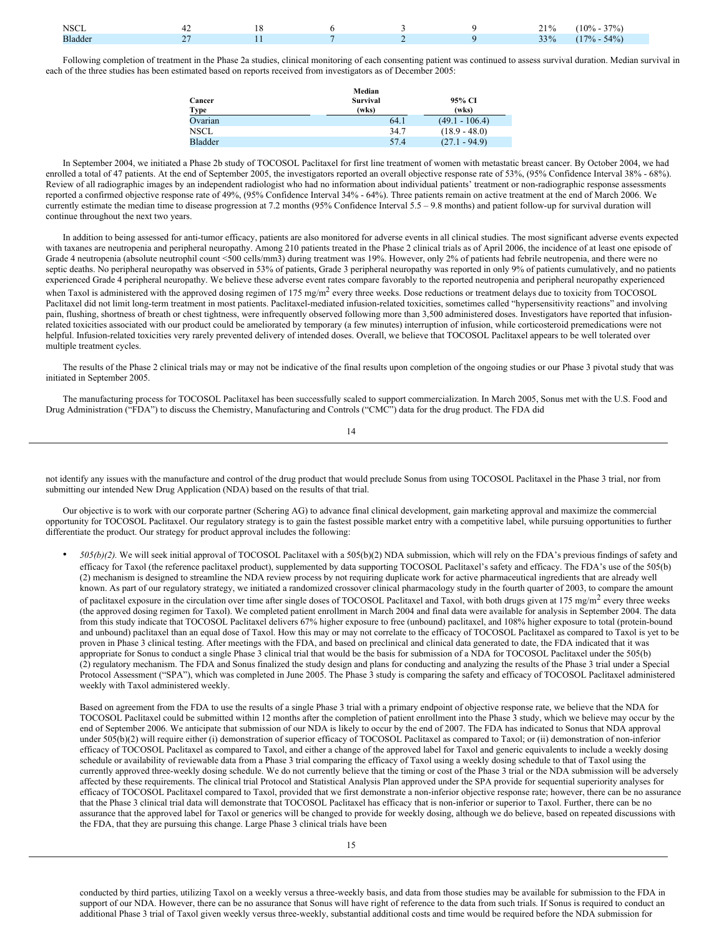| NSCL    | ິດ |  | $(10\% - 37\%)$<br>$21\%$  |  |
|---------|----|--|----------------------------|--|
| Bladder |    |  | $-54%$<br>$(17\% -$<br>33% |  |

Following completion of treatment in the Phase 2a studies, clinical monitoring of each consenting patient was continued to assess survival duration. Median survival in each of the three studies has been estimated based on reports received from investigators as of December 2005:

| 95% CI           |
|------------------|
| (wks)            |
| $(49.1 - 106.4)$ |
| $(18.9 - 48.0)$  |
| $(27.1 - 94.9)$  |
|                  |

In September 2004, we initiated a Phase 2b study of TOCOSOL Paclitaxel for first line treatment of women with metastatic breast cancer. By October 2004, we had enrolled a total of 47 patients. At the end of September 2005, the investigators reported an overall objective response rate of 53%, (95% Confidence Interval 38% - 68%). Review of all radiographic images by an independent radiologist who had no information about individual patients' treatment or non-radiographic response assessments reported a confirmed objective response rate of 49%, (95% Confidence Interval 34% - 64%). Three patients remain on active treatment at the end of March 2006. We currently estimate the median time to disease progression at 7.2 months (95% Confidence Interval 5.5 – 9.8 months) and patient follow-up for survival duration will continue throughout the next two years.

In addition to being assessed for anti-tumor efficacy, patients are also monitored for adverse events in all clinical studies. The most significant adverse events expected with taxanes are neutropenia and peripheral neuropathy. Among 210 patients treated in the Phase 2 clinical trials as of April 2006, the incidence of at least one episode of Grade 4 neutropenia (absolute neutrophil count <500 cells/mm3) during treatment was 19%. However, only 2% of patients had febrile neutropenia, and there were no septic deaths. No peripheral neuropathy was observed in 53% of patients, Grade 3 peripheral neuropathy was reported in only 9% of patients cumulatively, and no patients experienced Grade 4 peripheral neuropathy. We believe these adverse event rates compare favorably to the reported neutropenia and peripheral neuropathy experienced when Taxol is administered with the approved dosing regimen of 175 mg/m<sup>2</sup> every three weeks. Dose reductions or treatment delays due to toxicity from TOCOSOL Paclitaxel did not limit long-term treatment in most patients. Paclitaxel-mediated infusion-related toxicities, sometimes called "hypersensitivity reactions" and involving pain, flushing, shortness of breath or chest tightness, were infrequently observed following more than 3,500 administered doses. Investigators have reported that infusionrelated toxicities associated with our product could be ameliorated by temporary (a few minutes) interruption of infusion, while corticosteroid premedications were not helpful. Infusion-related toxicities very rarely prevented delivery of intended doses. Overall, we believe that TOCOSOL Paclitaxel appears to be well tolerated over multiple treatment cycles.

The results of the Phase 2 clinical trials may or may not be indicative of the final results upon completion of the ongoing studies or our Phase 3 pivotal study that was initiated in September 2005.

The manufacturing process for TOCOSOL Paclitaxel has been successfully scaled to support commercialization. In March 2005, Sonus met with the U.S. Food and Drug Administration ("FDA") to discuss the Chemistry, Manufacturing and Controls ("CMC") data for the drug product. The FDA did

14

not identify any issues with the manufacture and control of the drug product that would preclude Sonus from using TOCOSOL Paclitaxel in the Phase 3 trial, nor from submitting our intended New Drug Application (NDA) based on the results of that trial.

Our objective is to work with our corporate partner (Schering AG) to advance final clinical development, gain marketing approval and maximize the commercial opportunity for TOCOSOL Paclitaxel. Our regulatory strategy is to gain the fastest possible market entry with a competitive label, while pursuing opportunities to further differentiate the product. Our strategy for product approval includes the following:

• *505(b)(2).* We will seek initial approval of TOCOSOL Paclitaxel with a 505(b)(2) NDA submission, which will rely on the FDA's previous findings of safety and efficacy for Taxol (the reference paclitaxel product), supplemented by data supporting TOCOSOL Paclitaxel's safety and efficacy. The FDA's use of the 505(b) (2) mechanism is designed to streamline the NDA review process by not requiring duplicate work for active pharmaceutical ingredients that are already well known. As part of our regulatory strategy, we initiated a randomized crossover clinical pharmacology study in the fourth quarter of 2003, to compare the amount of paclitaxel exposure in the circulation over time after single doses of TOCOSOL Paclitaxel and Taxol, with both drugs given at 175 mg/m<sup>2</sup> every three weeks (the approved dosing regimen for Taxol). We completed patient enrollment in March 2004 and final data were available for analysis in September 2004. The data from this study indicate that TOCOSOL Paclitaxel delivers 67% higher exposure to free (unbound) paclitaxel, and 108% higher exposure to total (protein-bound and unbound) paclitaxel than an equal dose of Taxol. How this may or may not correlate to the efficacy of TOCOSOL Paclitaxel as compared to Taxol is yet to be proven in Phase 3 clinical testing. After meetings with the FDA, and based on preclinical and clinical data generated to date, the FDA indicated that it was appropriate for Sonus to conduct a single Phase 3 clinical trial that would be the basis for submission of a NDA for TOCOSOL Paclitaxel under the 505(b) (2) regulatory mechanism. The FDA and Sonus finalized the study design and plans for conducting and analyzing the results of the Phase 3 trial under a Special Protocol Assessment ("SPA"), which was completed in June 2005. The Phase 3 study is comparing the safety and efficacy of TOCOSOL Paclitaxel administered weekly with Taxol administered weekly.

Based on agreement from the FDA to use the results of a single Phase 3 trial with a primary endpoint of objective response rate, we believe that the NDA for TOCOSOL Paclitaxel could be submitted within 12 months after the completion of patient enrollment into the Phase 3 study, which we believe may occur by the end of September 2006. We anticipate that submission of our NDA is likely to occur by the end of 2007. The FDA has indicated to Sonus that NDA approval under 505(b)(2) will require either (i) demonstration of superior efficacy of TOCOSOL Paclitaxel as compared to Taxol; or (ii) demonstration of non-inferior efficacy of TOCOSOL Paclitaxel as compared to Taxol, and either a change of the approved label for Taxol and generic equivalents to include a weekly dosing schedule or availability of reviewable data from a Phase 3 trial comparing the efficacy of Taxol using a weekly dosing schedule to that of Taxol using the currently approved three-weekly dosing schedule. We do not currently believe that the timing or cost of the Phase 3 trial or the NDA submission will be adversely affected by these requirements. The clinical trial Protocol and Statistical Analysis Plan approved under the SPA provide for sequential superiority analyses for efficacy of TOCOSOL Paclitaxel compared to Taxol, provided that we first demonstrate a non-inferior objective response rate; however, there can be no assurance that the Phase 3 clinical trial data will demonstrate that TOCOSOL Paclitaxel has efficacy that is non-inferior or superior to Taxol. Further, there can be no assurance that the approved label for Taxol or generics will be changed to provide for weekly dosing, although we do believe, based on repeated discussions with the FDA, that they are pursuing this change. Large Phase 3 clinical trials have been

conducted by third parties, utilizing Taxol on a weekly versus a three-weekly basis, and data from those studies may be available for submission to the FDA in support of our NDA. However, there can be no assurance that Sonus will have right of reference to the data from such trials. If Sonus is required to conduct an additional Phase 3 trial of Taxol given weekly versus three-weekly, substantial additional costs and time would be required before the NDA submission for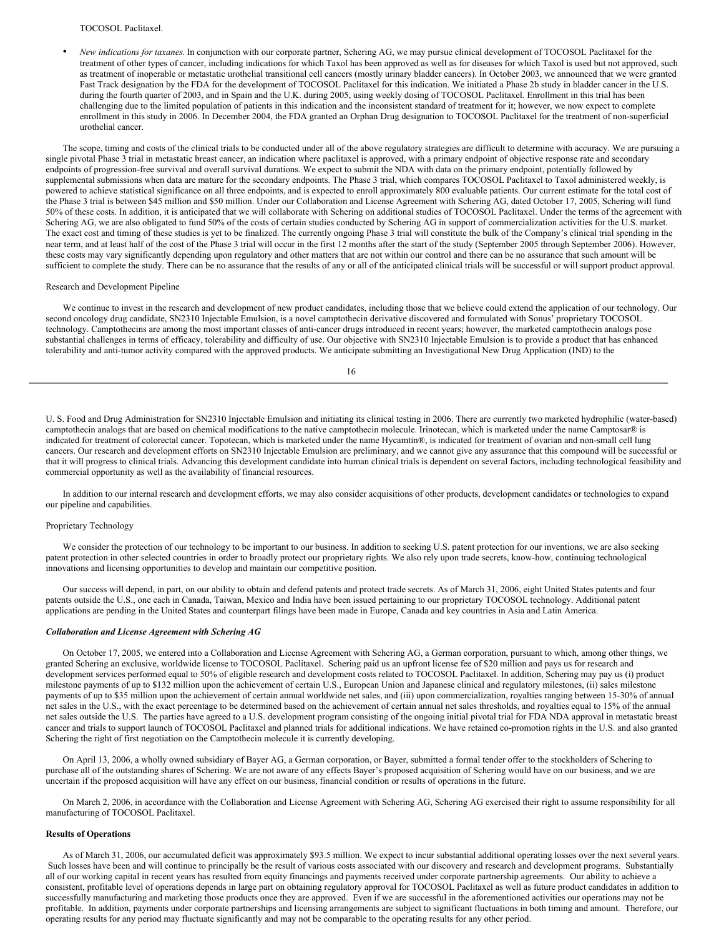#### TOCOSOL Paclitaxel.

• *New indications for taxanes.* In conjunction with our corporate partner, Schering AG, we may pursue clinical development of TOCOSOL Paclitaxel for the treatment of other types of cancer, including indications for which Taxol has been approved as well as for diseases for which Taxol is used but not approved, such as treatment of inoperable or metastatic urothelial transitional cell cancers (mostly urinary bladder cancers). In October 2003, we announced that we were granted Fast Track designation by the FDA for the development of TOCOSOL Paclitaxel for this indication. We initiated a Phase 2b study in bladder cancer in the U.S. during the fourth quarter of 2003, and in Spain and the U.K. during 2005, using weekly dosing of TOCOSOL Paclitaxel. Enrollment in this trial has been challenging due to the limited population of patients in this indication and the inconsistent standard of treatment for it; however, we now expect to complete enrollment in this study in 2006. In December 2004, the FDA granted an Orphan Drug designation to TOCOSOL Paclitaxel for the treatment of non-superficial urothelial cancer.

The scope, timing and costs of the clinical trials to be conducted under all of the above regulatory strategies are difficult to determine with accuracy. We are pursuing a single pivotal Phase 3 trial in metastatic breast cancer, an indication where paclitaxel is approved, with a primary endpoint of objective response rate and secondary endpoints of progression-free survival and overall survival durations. We expect to submit the NDA with data on the primary endpoint, potentially followed by supplemental submissions when data are mature for the secondary endpoints. The Phase 3 trial, which compares TOCOSOL Paclitaxel to Taxol administered weekly, is powered to achieve statistical significance on all three endpoints, and is expected to enroll approximately 800 evaluable patients. Our current estimate for the total cost of the Phase 3 trial is between \$45 million and \$50 million. Under our Collaboration and License Agreement with Schering AG, dated October 17, 2005, Schering will fund 50% of these costs. In addition, it is anticipated that we will collaborate with Schering on additional studies of TOCOSOL Paclitaxel. Under the terms of the agreement with Schering AG, we are also obligated to fund 50% of the costs of certain studies conducted by Schering AG in support of commercialization activities for the U.S. market. The exact cost and timing of these studies is yet to be finalized. The currently ongoing Phase 3 trial will constitute the bulk of the Company's clinical trial spending in the near term, and at least half of the cost of the Phase 3 trial will occur in the first 12 months after the start of the study (September 2005 through September 2006). However, these costs may vary significantly depending upon regulatory and other matters that are not within our control and there can be no assurance that such amount will be sufficient to complete the study. There can be no assurance that the results of any or all of the anticipated clinical trials will be successful or will support product approval.

#### Research and Development Pipeline

We continue to invest in the research and development of new product candidates, including those that we believe could extend the application of our technology. Our second oncology drug candidate, SN2310 Injectable Emulsion, is a novel camptothecin derivative discovered and formulated with Sonus' proprietary TOCOSOL technology. Camptothecins are among the most important classes of anti-cancer drugs introduced in recent years; however, the marketed camptothecin analogs pose substantial challenges in terms of efficacy, tolerability and difficulty of use. Our objective with SN2310 Injectable Emulsion is to provide a product that has enhanced tolerability and anti-tumor activity compared with the approved products. We anticipate submitting an Investigational New Drug Application (IND) to the

16

U. S. Food and Drug Administration for SN2310 Injectable Emulsion and initiating its clinical testing in 2006. There are currently two marketed hydrophilic (water-based) camptothecin analogs that are based on chemical modifications to the native camptothecin molecule. Irinotecan, which is marketed under the name Camptosar® is indicated for treatment of colorectal cancer. Topotecan, which is marketed under the name Hycamtin®, is indicated for treatment of ovarian and non-small cell lung cancers. Our research and development efforts on SN2310 Injectable Emulsion are preliminary, and we cannot give any assurance that this compound will be successful or that it will progress to clinical trials. Advancing this development candidate into human clinical trials is dependent on several factors, including technological feasibility and commercial opportunity as well as the availability of financial resources.

In addition to our internal research and development efforts, we may also consider acquisitions of other products, development candidates or technologies to expand our pipeline and capabilities.

#### Proprietary Technology

We consider the protection of our technology to be important to our business. In addition to seeking U.S. patent protection for our inventions, we are also seeking patent protection in other selected countries in order to broadly protect our proprietary rights. We also rely upon trade secrets, know-how, continuing technological innovations and licensing opportunities to develop and maintain our competitive position.

Our success will depend, in part, on our ability to obtain and defend patents and protect trade secrets. As of March 31, 2006, eight United States patents and four patents outside the U.S., one each in Canada, Taiwan, Mexico and India have been issued pertaining to our proprietary TOCOSOL technology. Additional patent applications are pending in the United States and counterpart filings have been made in Europe, Canada and key countries in Asia and Latin America.

#### *Collaboration and License Agreement with Schering AG*

On October 17, 2005, we entered into a Collaboration and License Agreement with Schering AG, a German corporation, pursuant to which, among other things, we granted Schering an exclusive, worldwide license to TOCOSOL Paclitaxel. Schering paid us an upfront license fee of \$20 million and pays us for research and development services performed equal to 50% of eligible research and development costs related to TOCOSOL Paclitaxel. In addition, Schering may pay us (i) product milestone payments of up to \$132 million upon the achievement of certain U.S., European Union and Japanese clinical and regulatory milestones, (ii) sales milestone payments of up to \$35 million upon the achievement of certain annual worldwide net sales, and (iii) upon commercialization, royalties ranging between 15-30% of annual net sales in the U.S., with the exact percentage to be determined based on the achievement of certain annual net sales thresholds, and royalties equal to 15% of the annual net sales outside the U.S. The parties have agreed to a U.S. development program consisting of the ongoing initial pivotal trial for FDA NDA approval in metastatic breast cancer and trials to support launch of TOCOSOL Paclitaxel and planned trials for additional indications. We have retained co-promotion rights in the U.S. and also granted Schering the right of first negotiation on the Camptothecin molecule it is currently developing.

On April 13, 2006, a wholly owned subsidiary of Bayer AG, a German corporation, or Bayer, submitted a formal tender offer to the stockholders of Schering to purchase all of the outstanding shares of Schering. We are not aware of any effects Bayer's proposed acquisition of Schering would have on our business, and we are uncertain if the proposed acquisition will have any effect on our business, financial condition or results of operations in the future.

On March 2, 2006, in accordance with the Collaboration and License Agreement with Schering AG, Schering AG exercised their right to assume responsibility for all manufacturing of TOCOSOL Paclitaxel.

#### **Results of Operations**

As of March 31, 2006, our accumulated deficit was approximately \$93.5 million. We expect to incur substantial additional operating losses over the next several years. Such losses have been and will continue to principally be the result of various costs associated with our discovery and research and development programs. Substantially all of our working capital in recent years has resulted from equity financings and payments received under corporate partnership agreements. Our ability to achieve a consistent, profitable level of operations depends in large part on obtaining regulatory approval for TOCOSOL Paclitaxel as well as future product candidates in addition to successfully manufacturing and marketing those products once they are approved. Even if we are successful in the aforementioned activities our operations may not be profitable. In addition, payments under corporate partnerships and licensing arrangements are subject to significant fluctuations in both timing and amount. Therefore, our operating results for any period may fluctuate significantly and may not be comparable to the operating results for any other period.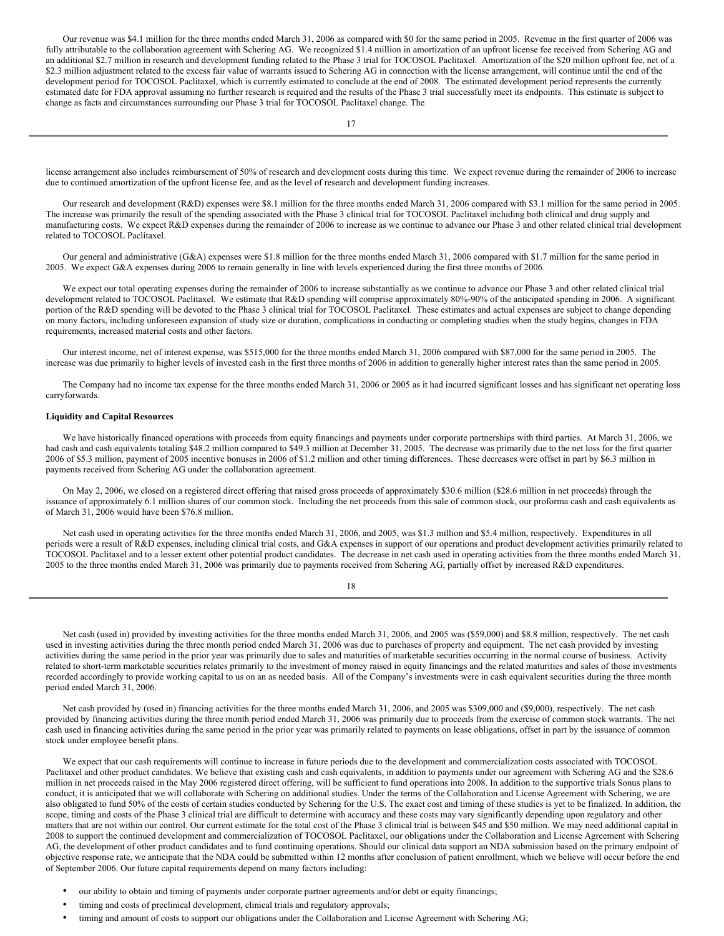Our revenue was \$4.1 million for the three months ended March 31, 2006 as compared with \$0 for the same period in 2005. Revenue in the first quarter of 2006 was fully attributable to the collaboration agreement with Schering AG. We recognized \$1.4 million in amortization of an upfront license fee received from Schering AG and an additional \$2.7 million in research and development funding related to the Phase 3 trial for TOCOSOL Paclitaxel. Amortization of the \$20 million upfront fee, net of a \$2.3 million adjustment related to the excess fair value of warrants issued to Schering AG in connection with the license arrangement, will continue until the end of the development period for TOCOSOL Paclitaxel, which is currently estimated to conclude at the end of 2008. The estimated development period represents the currently estimated date for FDA approval assuming no further research is required and the results of the Phase 3 trial successfully meet its endpoints. This estimate is subject to change as facts and circumstances surrounding our Phase 3 trial for TOCOSOL Paclitaxel change. The

license arrangement also includes reimbursement of 50% of research and development costs during this time. We expect revenue during the remainder of 2006 to increase due to continued amortization of the upfront license fee, and as the level of research and development funding increases.

Our research and development (R&D) expenses were \$8.1 million for the three months ended March 31, 2006 compared with \$3.1 million for the same period in 2005. The increase was primarily the result of the spending associated with the Phase 3 clinical trial for TOCOSOL Paclitaxel including both clinical and drug supply and manufacturing costs. We expect R&D expenses during the remainder of 2006 to increase as we continue to advance our Phase 3 and other related clinical trial development related to TOCOSOL Paclitaxel.

Our general and administrative (G&A) expenses were \$1.8 million for the three months ended March 31, 2006 compared with \$1.7 million for the same period in 2005. We expect G&A expenses during 2006 to remain generally in line with levels experienced during the first three months of 2006.

We expect our total operating expenses during the remainder of 2006 to increase substantially as we continue to advance our Phase 3 and other related clinical trial development related to TOCOSOL Paclitaxel. We estimate that R&D spending will comprise approximately 80%-90% of the anticipated spending in 2006. A significant portion of the R&D spending will be devoted to the Phase 3 clinical trial for TOCOSOL Paclitaxel. These estimates and actual expenses are subject to change depending on many factors, including unforeseen expansion of study size or duration, complications in conducting or completing studies when the study begins, changes in FDA requirements, increased material costs and other factors.

Our interest income, net of interest expense, was \$515,000 for the three months ended March 31, 2006 compared with \$87,000 for the same period in 2005. The increase was due primarily to higher levels of invested cash in the first three months of 2006 in addition to generally higher interest rates than the same period in 2005.

The Company had no income tax expense for the three months ended March 31, 2006 or 2005 as it had incurred significant losses and has significant net operating loss carryforwards.

#### **Liquidity and Capital Resources**

We have historically financed operations with proceeds from equity financings and payments under corporate partnerships with third parties. At March 31, 2006, we had cash and cash equivalents totaling \$48.2 million compared to \$49.3 million at December 31, 2005. The decrease was primarily due to the net loss for the first quarter 2006 of \$5.3 million, payment of 2005 incentive bonuses in 2006 of \$1.2 million and other timing differences. These decreases were offset in part by \$6.3 million in payments received from Schering AG under the collaboration agreement.

On May 2, 2006, we closed on a registered direct offering that raised gross proceeds of approximately \$30.6 million (\$28.6 million in net proceeds) through the issuance of approximately 6.1 million shares of our common stock. Including the net proceeds from this sale of common stock, our proforma cash and cash equivalents as of March 31, 2006 would have been \$76.8 million.

Net cash used in operating activities for the three months ended March 31, 2006, and 2005, was \$1.3 million and \$5.4 million, respectively. Expenditures in all periods were a result of R&D expenses, including clinical trial costs, and G&A expenses in support of our operations and product development activities primarily related to TOCOSOL Paclitaxel and to a lesser extent other potential product candidates. The decrease in net cash used in operating activities from the three months ended March 31, 2005 to the three months ended March 31, 2006 was primarily due to payments received from Schering AG, partially offset by increased R&D expenditures.

18

Net cash (used in) provided by investing activities for the three months ended March 31, 2006, and 2005 was (\$59,000) and \$8.8 million, respectively. The net cash used in investing activities during the three month period ended March 31, 2006 was due to purchases of property and equipment. The net cash provided by investing activities during the same period in the prior year was primarily due to sales and maturities of marketable securities occurring in the normal course of business. Activity related to short-term marketable securities relates primarily to the investment of money raised in equity financings and the related maturities and sales of those investments recorded accordingly to provide working capital to us on an as needed basis. All of the Company's investments were in cash equivalent securities during the three month period ended March 31, 2006.

Net cash provided by (used in) financing activities for the three months ended March 31, 2006, and 2005 was \$309,000 and (\$9,000), respectively. The net cash provided by financing activities during the three month period ended March 31, 2006 was primarily due to proceeds from the exercise of common stock warrants. The net cash used in financing activities during the same period in the prior year was primarily related to payments on lease obligations, offset in part by the issuance of common stock under employee benefit plans.

We expect that our cash requirements will continue to increase in future periods due to the development and commercialization costs associated with TOCOSOL Paclitaxel and other product candidates. We believe that existing cash and cash equivalents, in addition to payments under our agreement with Schering AG and the \$28.6 million in net proceeds raised in the May 2006 registered direct offering, will be sufficient to fund operations into 2008. In addition to the supportive trials Sonus plans to conduct, it is anticipated that we will collaborate with Schering on additional studies. Under the terms of the Collaboration and License Agreement with Schering, we are also obligated to fund 50% of the costs of certain studies conducted by Schering for the U.S. The exact cost and timing of these studies is yet to be finalized. In addition, the scope, timing and costs of the Phase 3 clinical trial are difficult to determine with accuracy and these costs may vary significantly depending upon regulatory and other matters that are not within our control. Our current estimate for the total cost of the Phase 3 clinical trial is between \$45 and \$50 million. We may need additional capital in 2008 to support the continued development and commercialization of TOCOSOL Paclitaxel, our obligations under the Collaboration and License Agreement with Schering AG, the development of other product candidates and to fund continuing operations. Should our clinical data support an NDA submission based on the primary endpoint of objective response rate, we anticipate that the NDA could be submitted within 12 months after conclusion of patient enrollment, which we believe will occur before the end of September 2006. Our future capital requirements depend on many factors including:

- our ability to obtain and timing of payments under corporate partner agreements and/or debt or equity financings;
- timing and costs of preclinical development, clinical trials and regulatory approvals;
- timing and amount of costs to support our obligations under the Collaboration and License Agreement with Schering AG;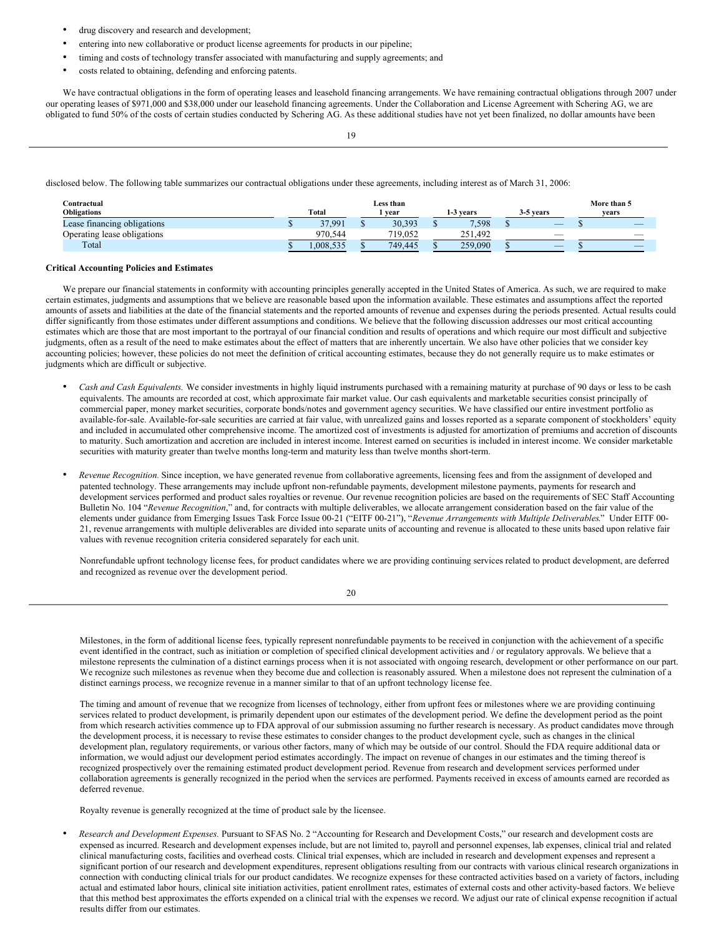- drug discovery and research and development;
- entering into new collaborative or product license agreements for products in our pipeline;
- timing and costs of technology transfer associated with manufacturing and supply agreements; and
- costs related to obtaining, defending and enforcing patents.

We have contractual obligations in the form of operating leases and leasehold financing arrangements. We have remaining contractual obligations through 2007 under our operating leases of \$971,000 and \$38,000 under our leasehold financing agreements. Under the Collaboration and License Agreement with Schering AG, we are obligated to fund 50% of the costs of certain studies conducted by Schering AG. As these additional studies have not yet been finalized, no dollar amounts have been

disclosed below. The following table summarizes our contractual obligations under these agreements, including interest as of March 31, 2006:

| Contractual                 |          | Less than |           |                          | More than 5              |
|-----------------------------|----------|-----------|-----------|--------------------------|--------------------------|
| <b>Obligations</b>          | Total    | vear      | 1-3 years | 3-5 years                | vears                    |
| Lease financing obligations | 37.991   | 30.393    | 7.598     | $\overline{\phantom{a}}$ | $\overline{\phantom{a}}$ |
| Operating lease obligations | 970.544  | 719,052   | 251.492   | $\overline{\phantom{a}}$ | $\sim$                   |
| Total                       | .008.535 | 749.445   | 259,090   | $\overline{\phantom{a}}$ | $\overline{\phantom{a}}$ |

#### **Critical Accounting Policies and Estimates**

We prepare our financial statements in conformity with accounting principles generally accepted in the United States of America. As such, we are required to make certain estimates, judgments and assumptions that we believe are reasonable based upon the information available. These estimates and assumptions affect the reported amounts of assets and liabilities at the date of the financial statements and the reported amounts of revenue and expenses during the periods presented. Actual results could differ significantly from those estimates under different assumptions and conditions. We believe that the following discussion addresses our most critical accounting estimates which are those that are most important to the portrayal of our financial condition and results of operations and which require our most difficult and subjective judgments, often as a result of the need to make estimates about the effect of matters that are inherently uncertain. We also have other policies that we consider key accounting policies; however, these policies do not meet the definition of critical accounting estimates, because they do not generally require us to make estimates or judgments which are difficult or subjective.

- *Cash and Cash Equivalents.* We consider investments in highly liquid instruments purchased with a remaining maturity at purchase of 90 days or less to be cash equivalents. The amounts are recorded at cost, which approximate fair market value. Our cash equivalents and marketable securities consist principally of commercial paper, money market securities, corporate bonds/notes and government agency securities. We have classified our entire investment portfolio as available-for-sale. Available-for-sale securities are carried at fair value, with unrealized gains and losses reported as a separate component of stockholders' equity and included in accumulated other comprehensive income. The amortized cost of investments is adjusted for amortization of premiums and accretion of discounts to maturity. Such amortization and accretion are included in interest income. Interest earned on securities is included in interest income. We consider marketable securities with maturity greater than twelve months long-term and maturity less than twelve months short-term.
- *Revenue Recognition.* Since inception, we have generated revenue from collaborative agreements, licensing fees and from the assignment of developed and patented technology. These arrangements may include upfront non-refundable payments, development milestone payments, payments for research and development services performed and product sales royalties or revenue. Our revenue recognition policies are based on the requirements of SEC Staff Accounting Bulletin No. 104 "Revenue Recognition," and, for contracts with multiple deliverables, we allocate arrangement consideration based on the fair value of the elements under guidance from Emerging Issues Task Force Issue 00-21 ("EITF 00-21"), "*Revenue Arrangements with Multiple Deliverables*." Under EITF 00- 21, revenue arrangements with multiple deliverables are divided into separate units of accounting and revenue is allocated to these units based upon relative fair values with revenue recognition criteria considered separately for each unit.

Nonrefundable upfront technology license fees, for product candidates where we are providing continuing services related to product development, are deferred and recognized as revenue over the development period.

| ۰.<br>×<br>۰. |
|---------------|

Milestones, in the form of additional license fees, typically represent nonrefundable payments to be received in conjunction with the achievement of a specific event identified in the contract, such as initiation or completion of specified clinical development activities and / or regulatory approvals. We believe that a milestone represents the culmination of a distinct earnings process when it is not associated with ongoing research, development or other performance on our part. We recognize such milestones as revenue when they become due and collection is reasonably assured. When a milestone does not represent the culmination of a distinct earnings process, we recognize revenue in a manner similar to that of an upfront technology license fee.

The timing and amount of revenue that we recognize from licenses of technology, either from upfront fees or milestones where we are providing continuing services related to product development, is primarily dependent upon our estimates of the development period. We define the development period as the point from which research activities commence up to FDA approval of our submission assuming no further research is necessary. As product candidates move through the development process, it is necessary to revise these estimates to consider changes to the product development cycle, such as changes in the clinical development plan, regulatory requirements, or various other factors, many of which may be outside of our control. Should the FDA require additional data or information, we would adjust our development period estimates accordingly. The impact on revenue of changes in our estimates and the timing thereof is recognized prospectively over the remaining estimated product development period. Revenue from research and development services performed under collaboration agreements is generally recognized in the period when the services are performed. Payments received in excess of amounts earned are recorded as deferred revenue.

Royalty revenue is generally recognized at the time of product sale by the licensee.

• *Research and Development Expenses.* Pursuant to SFAS No. 2 "Accounting for Research and Development Costs," our research and development costs are expensed as incurred. Research and development expenses include, but are not limited to, payroll and personnel expenses, lab expenses, clinical trial and related clinical manufacturing costs, facilities and overhead costs. Clinical trial expenses, which are included in research and development expenses and represent a significant portion of our research and development expenditures, represent obligations resulting from our contracts with various clinical research organizations in connection with conducting clinical trials for our product candidates. We recognize expenses for these contracted activities based on a variety of factors, including actual and estimated labor hours, clinical site initiation activities, patient enrollment rates, estimates of external costs and other activity-based factors. We believe that this method best approximates the efforts expended on a clinical trial with the expenses we record. We adjust our rate of clinical expense recognition if actual results differ from our estimates.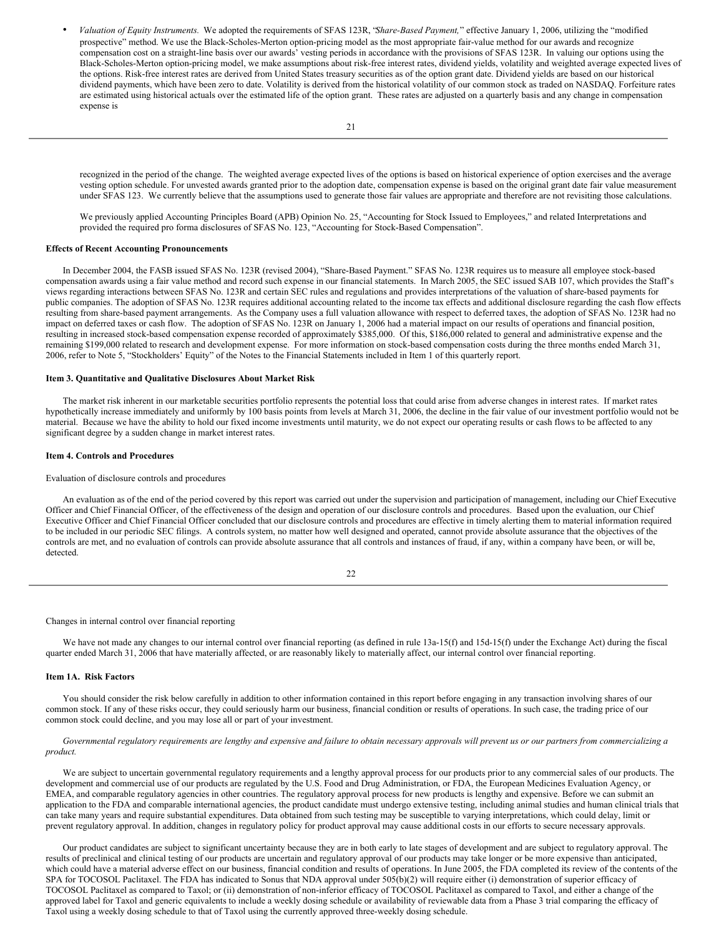• *Valuation of Equity Instruments.* We adopted the requirements of SFAS 123R, "*Share-Based Payment,*" effective January 1, 2006, utilizing the "modified prospective" method. We use the Black-Scholes-Merton option-pricing model as the most appropriate fair-value method for our awards and recognize compensation cost on a straight-line basis over our awards' vesting periods in accordance with the provisions of SFAS 123R. In valuing our options using the Black-Scholes-Merton option-pricing model, we make assumptions about risk-free interest rates, dividend yields, volatility and weighted average expected lives of the options. Risk-free interest rates are derived from United States treasury securities as of the option grant date. Dividend yields are based on our historical dividend payments, which have been zero to date. Volatility is derived from the historical volatility of our common stock as traded on NASDAQ. Forfeiture rates are estimated using historical actuals over the estimated life of the option grant. These rates are adjusted on a quarterly basis and any change in compensation expense is

recognized in the period of the change. The weighted average expected lives of the options is based on historical experience of option exercises and the average vesting option schedule. For unvested awards granted prior to the adoption date, compensation expense is based on the original grant date fair value measurement under SFAS 123. We currently believe that the assumptions used to generate those fair values are appropriate and therefore are not revisiting those calculations.

We previously applied Accounting Principles Board (APB) Opinion No. 25, "Accounting for Stock Issued to Employees," and related Interpretations and provided the required pro forma disclosures of SFAS No. 123, "Accounting for Stock-Based Compensation".

#### **Effects of Recent Accounting Pronouncements**

In December 2004, the FASB issued SFAS No. 123R (revised 2004), "Share-Based Payment." SFAS No. 123R requires us to measure all employee stock-based compensation awards using a fair value method and record such expense in our financial statements. In March 2005, the SEC issued SAB 107, which provides the Staff's views regarding interactions between SFAS No. 123R and certain SEC rules and regulations and provides interpretations of the valuation of share-based payments for public companies. The adoption of SFAS No. 123R requires additional accounting related to the income tax effects and additional disclosure regarding the cash flow effects resulting from share-based payment arrangements. As the Company uses a full valuation allowance with respect to deferred taxes, the adoption of SFAS No. 123R had no impact on deferred taxes or cash flow. The adoption of SFAS No. 123R on January 1, 2006 had a material impact on our results of operations and financial position, resulting in increased stock-based compensation expense recorded of approximately \$385,000. Of this, \$186,000 related to general and administrative expense and the remaining \$199,000 related to research and development expense. For more information on stock-based compensation costs during the three months ended March 31, 2006, refer to Note 5, "Stockholders' Equity" of the Notes to the Financial Statements included in Item 1 of this quarterly report.

#### **Item 3. Quantitative and Qualitative Disclosures About Market Risk**

The market risk inherent in our marketable securities portfolio represents the potential loss that could arise from adverse changes in interest rates. If market rates hypothetically increase immediately and uniformly by 100 basis points from levels at March 31, 2006, the decline in the fair value of our investment portfolio would not be material. Because we have the ability to hold our fixed income investments until maturity, we do not expect our operating results or cash flows to be affected to any significant degree by a sudden change in market interest rates.

#### <span id="page-11-1"></span>**Item 4. Controls and Procedures**

#### Evaluation of disclosure controls and procedures

An evaluation as of the end of the period covered by this report was carried out under the supervision and participation of management, including our Chief Executive Officer and Chief Financial Officer, of the effectiveness of the design and operation of our disclosure controls and procedures. Based upon the evaluation, our Chief Executive Officer and Chief Financial Officer concluded that our disclosure controls and procedures are effective in timely alerting them to material information required to be included in our periodic SEC filings. A controls system, no matter how well designed and operated, cannot provide absolute assurance that the objectives of the controls are met, and no evaluation of controls can provide absolute assurance that all controls and instances of fraud, if any, within a company have been, or will be, detected.

#### <span id="page-11-0"></span>22

## Changes in internal control over financial reporting

We have not made any changes to our internal control over financial reporting (as defined in rule 13a-15(f) and 15d-15(f) under the Exchange Act) during the fiscal quarter ended March 31, 2006 that have materially affected, or are reasonably likely to materially affect, our internal control over financial reporting.

## <span id="page-11-2"></span>**Item 1A. Risk Factors**

You should consider the risk below carefully in addition to other information contained in this report before engaging in any transaction involving shares of our common stock. If any of these risks occur, they could seriously harm our business, financial condition or results of operations. In such case, the trading price of our common stock could decline, and you may lose all or part of your investment.

### Governmental regulatory requirements are lengthy and expensive and failure to obtain necessary approvals will prevent us or our partners from commercializing a *product.*

We are subject to uncertain governmental regulatory requirements and a lengthy approval process for our products prior to any commercial sales of our products. The development and commercial use of our products are regulated by the U.S. Food and Drug Administration, or FDA, the European Medicines Evaluation Agency, or EMEA, and comparable regulatory agencies in other countries. The regulatory approval process for new products is lengthy and expensive. Before we can submit an application to the FDA and comparable international agencies, the product candidate must undergo extensive testing, including animal studies and human clinical trials that can take many years and require substantial expenditures. Data obtained from such testing may be susceptible to varying interpretations, which could delay, limit or prevent regulatory approval. In addition, changes in regulatory policy for product approval may cause additional costs in our efforts to secure necessary approvals.

Our product candidates are subject to significant uncertainty because they are in both early to late stages of development and are subject to regulatory approval. The results of preclinical and clinical testing of our products are uncertain and regulatory approval of our products may take longer or be more expensive than anticipated, which could have a material adverse effect on our business, financial condition and results of operations. In June 2005, the FDA completed its review of the contents of the SPA for TOCOSOL Paclitaxel. The FDA has indicated to Sonus that NDA approval under 505(b)(2) will require either (i) demonstration of superior efficacy of TOCOSOL Paclitaxel as compared to Taxol; or (ii) demonstration of non-inferior efficacy of TOCOSOL Paclitaxel as compared to Taxol, and either a change of the approved label for Taxol and generic equivalents to include a weekly dosing schedule or availability of reviewable data from a Phase 3 trial comparing the efficacy of Taxol using a weekly dosing schedule to that of Taxol using the currently approved three-weekly dosing schedule.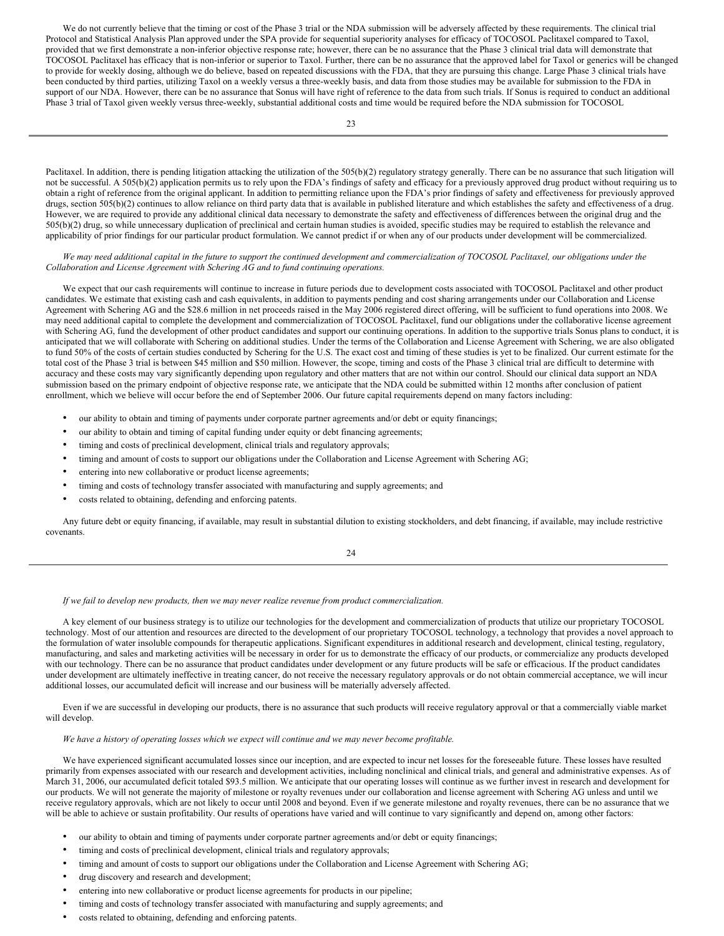We do not currently believe that the timing or cost of the Phase 3 trial or the NDA submission will be adversely affected by these requirements. The clinical trial Protocol and Statistical Analysis Plan approved under the SPA provide for sequential superiority analyses for efficacy of TOCOSOL Paclitaxel compared to Taxol, provided that we first demonstrate a non-inferior objective response rate; however, there can be no assurance that the Phase 3 clinical trial data will demonstrate that TOCOSOL Paclitaxel has efficacy that is non-inferior or superior to Taxol. Further, there can be no assurance that the approved label for Taxol or generics will be changed to provide for weekly dosing, although we do believe, based on repeated discussions with the FDA, that they are pursuing this change. Large Phase 3 clinical trials have been conducted by third parties, utilizing Taxol on a weekly versus a three-weekly basis, and data from those studies may be available for submission to the FDA in support of our NDA. However, there can be no assurance that Sonus will have right of reference to the data from such trials. If Sonus is required to conduct an additional Phase 3 trial of Taxol given weekly versus three-weekly, substantial additional costs and time would be required before the NDA submission for TOCOSOL

23

Paclitaxel. In addition, there is pending litigation attacking the utilization of the 505(b)(2) regulatory strategy generally. There can be no assurance that such litigation will not be successful. A 505(b)(2) application permits us to rely upon the FDA's findings of safety and efficacy for a previously approved drug product without requiring us to obtain a right of reference from the original applicant. In addition to permitting reliance upon the FDA's prior findings of safety and effectiveness for previously approved drugs, section 505(b)(2) continues to allow reliance on third party data that is available in published literature and which establishes the safety and effectiveness of a drug. However, we are required to provide any additional clinical data necessary to demonstrate the safety and effectiveness of differences between the original drug and the 505(b)(2) drug, so while unnecessary duplication of preclinical and certain human studies is avoided, specific studies may be required to establish the relevance and applicability of prior findings for our particular product formulation. We cannot predict if or when any of our products under development will be commercialized.

#### We may need additional capital in the future to support the continued development and commercialization of TOCOSOL Paclitaxel, our obligations under the *Collaboration and License Agreement with Schering AG and to fund continuing operations.*

We expect that our cash requirements will continue to increase in future periods due to development costs associated with TOCOSOL Paclitaxel and other product candidates. We estimate that existing cash and cash equivalents, in addition to payments pending and cost sharing arrangements under our Collaboration and License Agreement with Schering AG and the \$28.6 million in net proceeds raised in the May 2006 registered direct offering, will be sufficient to fund operations into 2008. We may need additional capital to complete the development and commercialization of TOCOSOL Paclitaxel, fund our obligations under the collaborative license agreement with Schering AG, fund the development of other product candidates and support our continuing operations. In addition to the supportive trials Sonus plans to conduct, it is anticipated that we will collaborate with Schering on additional studies. Under the terms of the Collaboration and License Agreement with Schering, we are also obligated to fund 50% of the costs of certain studies conducted by Schering for the U.S. The exact cost and timing of these studies is yet to be finalized. Our current estimate for the total cost of the Phase 3 trial is between \$45 million and \$50 million. However, the scope, timing and costs of the Phase 3 clinical trial are difficult to determine with accuracy and these costs may vary significantly depending upon regulatory and other matters that are not within our control. Should our clinical data support an NDA submission based on the primary endpoint of objective response rate, we anticipate that the NDA could be submitted within 12 months after conclusion of patient enrollment, which we believe will occur before the end of September 2006. Our future capital requirements depend on many factors including:

- our ability to obtain and timing of payments under corporate partner agreements and/or debt or equity financings;
- our ability to obtain and timing of capital funding under equity or debt financing agreements;
- timing and costs of preclinical development, clinical trials and regulatory approvals;
- timing and amount of costs to support our obligations under the Collaboration and License Agreement with Schering AG;
- entering into new collaborative or product license agreements;
- timing and costs of technology transfer associated with manufacturing and supply agreements; and
- costs related to obtaining, defending and enforcing patents.

Any future debt or equity financing, if available, may result in substantial dilution to existing stockholders, and debt financing, if available, may include restrictive covenants.

24

## *If we fail to develop new products, then we may never realize revenue from product commercialization.*

A key element of our business strategy is to utilize our technologies for the development and commercialization of products that utilize our proprietary TOCOSOL technology. Most of our attention and resources are directed to the development of our proprietary TOCOSOL technology, a technology that provides a novel approach to the formulation of water insoluble compounds for therapeutic applications. Significant expenditures in additional research and development, clinical testing, regulatory, manufacturing, and sales and marketing activities will be necessary in order for us to demonstrate the efficacy of our products, or commercialize any products developed with our technology. There can be no assurance that product candidates under development or any future products will be safe or efficacious. If the product candidates under development are ultimately ineffective in treating cancer, do not receive the necessary regulatory approvals or do not obtain commercial acceptance, we will incur additional losses, our accumulated deficit will increase and our business will be materially adversely affected.

Even if we are successful in developing our products, there is no assurance that such products will receive regulatory approval or that a commercially viable market will develop.

## We have a history of operating losses which we expect will continue and we may never become profitable.

We have experienced significant accumulated losses since our inception, and are expected to incur net losses for the foreseeable future. These losses have resulted primarily from expenses associated with our research and development activities, including nonclinical and clinical trials, and general and administrative expenses. As of March 31, 2006, our accumulated deficit totaled \$93.5 million. We anticipate that our operating losses will continue as we further invest in research and development for our products. We will not generate the majority of milestone or royalty revenues under our collaboration and license agreement with Schering AG unless and until we receive regulatory approvals, which are not likely to occur until 2008 and beyond. Even if we generate milestone and royalty revenues, there can be no assurance that we will be able to achieve or sustain profitability. Our results of operations have varied and will continue to vary significantly and depend on, among other factors:

- our ability to obtain and timing of payments under corporate partner agreements and/or debt or equity financings;
- timing and costs of preclinical development, clinical trials and regulatory approvals;
- timing and amount of costs to support our obligations under the Collaboration and License Agreement with Schering AG;
- drug discovery and research and development;
- entering into new collaborative or product license agreements for products in our pipeline;
- timing and costs of technology transfer associated with manufacturing and supply agreements; and
- costs related to obtaining, defending and enforcing patents.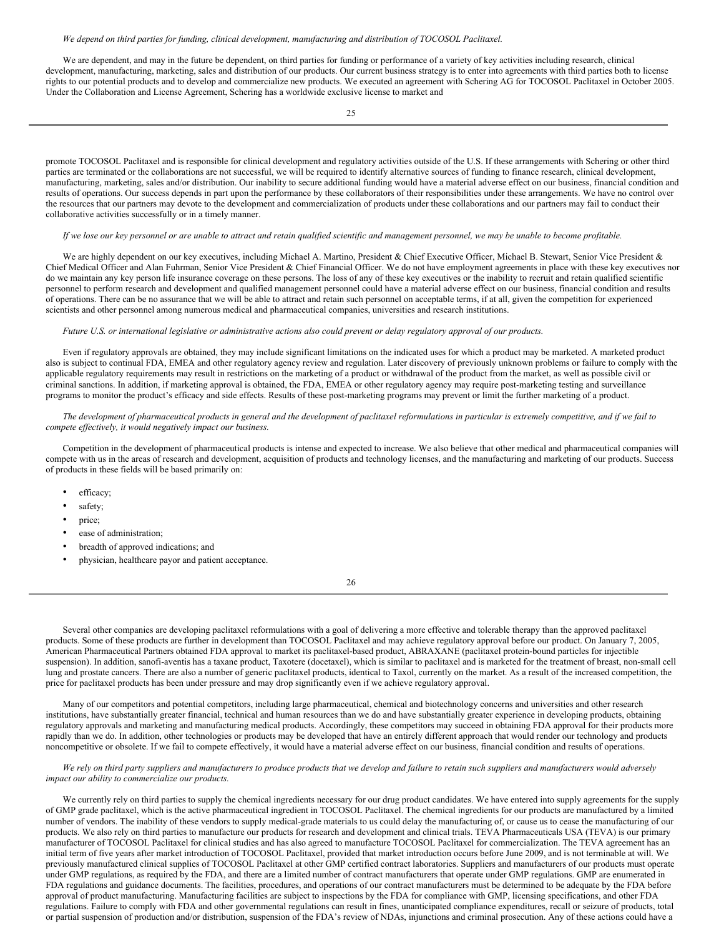#### *We depend on third parties for funding, clinical development, manufacturing and distribution of TOCOSOL Paclitaxel.*

We are dependent, and may in the future be dependent, on third parties for funding or performance of a variety of key activities including research, clinical development, manufacturing, marketing, sales and distribution of our products. Our current business strategy is to enter into agreements with third parties both to license rights to our potential products and to develop and commercialize new products. We executed an agreement with Schering AG for TOCOSOL Paclitaxel in October 2005. Under the Collaboration and License Agreement, Schering has a worldwide exclusive license to market and

25

promote TOCOSOL Paclitaxel and is responsible for clinical development and regulatory activities outside of the U.S. If these arrangements with Schering or other third parties are terminated or the collaborations are not successful, we will be required to identify alternative sources of funding to finance research, clinical development, manufacturing, marketing, sales and/or distribution. Our inability to secure additional funding would have a material adverse effect on our business, financial condition and results of operations. Our success depends in part upon the performance by these collaborators of their responsibilities under these arrangements. We have no control over the resources that our partners may devote to the development and commercialization of products under these collaborations and our partners may fail to conduct their collaborative activities successfully or in a timely manner.

#### If we lose our key personnel or are unable to attract and retain qualified scientific and management personnel, we may be unable to become profitable.

We are highly dependent on our key executives, including Michael A. Martino, President & Chief Executive Officer, Michael B. Stewart, Senior Vice President & Chief Medical Officer and Alan Fuhrman, Senior Vice President & Chief Financial Officer. We do not have employment agreements in place with these key executives nor do we maintain any key person life insurance coverage on these persons. The loss of any of these key executives or the inability to recruit and retain qualified scientific personnel to perform research and development and qualified management personnel could have a material adverse effect on our business, financial condition and results of operations. There can be no assurance that we will be able to attract and retain such personnel on acceptable terms, if at all, given the competition for experienced scientists and other personnel among numerous medical and pharmaceutical companies, universities and research institutions.

#### Future U.S. or international legislative or administrative actions also could prevent or delay regulatory approval of our products.

Even if regulatory approvals are obtained, they may include significant limitations on the indicated uses for which a product may be marketed. A marketed product also is subject to continual FDA, EMEA and other regulatory agency review and regulation. Later discovery of previously unknown problems or failure to comply with the applicable regulatory requirements may result in restrictions on the marketing of a product or withdrawal of the product from the market, as well as possible civil or criminal sanctions. In addition, if marketing approval is obtained, the FDA, EMEA or other regulatory agency may require post-marketing testing and surveillance programs to monitor the product's efficacy and side effects. Results of these post-marketing programs may prevent or limit the further marketing of a product.

#### The development of pharmaceutical products in general and the development of paclitaxel reformulations in particular is extremely competitive, and if we fail to *compete ef ectively, it would negatively impact our business.*

Competition in the development of pharmaceutical products is intense and expected to increase. We also believe that other medical and pharmaceutical companies will compete with us in the areas of research and development, acquisition of products and technology licenses, and the manufacturing and marketing of our products. Success of products in these fields will be based primarily on:

- efficacy;
- safety;
- price;
- ease of administration:
- breadth of approved indications; and
- physician, healthcare payor and patient acceptance.

26

Several other companies are developing paclitaxel reformulations with a goal of delivering a more effective and tolerable therapy than the approved paclitaxel products. Some of these products are further in development than TOCOSOL Paclitaxel and may achieve regulatory approval before our product. On January 7, 2005, American Pharmaceutical Partners obtained FDA approval to market its paclitaxel-based product, ABRAXANE (paclitaxel protein-bound particles for injectible suspension). In addition, sanofi-aventis has a taxane product, Taxotere (docetaxel), which is similar to paclitaxel and is marketed for the treatment of breast, non-small cell lung and prostate cancers. There are also a number of generic paclitaxel products, identical to Taxol, currently on the market. As a result of the increased competition, the price for paclitaxel products has been under pressure and may drop significantly even if we achieve regulatory approval.

Many of our competitors and potential competitors, including large pharmaceutical, chemical and biotechnology concerns and universities and other research institutions, have substantially greater financial, technical and human resources than we do and have substantially greater experience in developing products, obtaining regulatory approvals and marketing and manufacturing medical products. Accordingly, these competitors may succeed in obtaining FDA approval for their products more rapidly than we do. In addition, other technologies or products may be developed that have an entirely different approach that would render our technology and products noncompetitive or obsolete. If we fail to compete effectively, it would have a material adverse effect on our business, financial condition and results of operations.

#### We rely on third party suppliers and manufacturers to produce products that we develop and failure to retain such suppliers and manufacturers would adversely *impact our ability to commercialize our products.*

We currently rely on third parties to supply the chemical ingredients necessary for our drug product candidates. We have entered into supply agreements for the supply of GMP grade paclitaxel, which is the active pharmaceutical ingredient in TOCOSOL Paclitaxel. The chemical ingredients for our products are manufactured by a limited number of vendors. The inability of these vendors to supply medical-grade materials to us could delay the manufacturing of, or cause us to cease the manufacturing of our products. We also rely on third parties to manufacture our products for research and development and clinical trials. TEVA Pharmaceuticals USA (TEVA) is our primary manufacturer of TOCOSOL Paclitaxel for clinical studies and has also agreed to manufacture TOCOSOL Paclitaxel for commercialization. The TEVA agreement has an initial term of five years after market introduction of TOCOSOL Paclitaxel, provided that market introduction occurs before June 2009, and is not terminable at will. We previously manufactured clinical supplies of TOCOSOL Paclitaxel at other GMP certified contract laboratories. Suppliers and manufacturers of our products must operate under GMP regulations, as required by the FDA, and there are a limited number of contract manufacturers that operate under GMP regulations. GMP are enumerated in FDA regulations and guidance documents. The facilities, procedures, and operations of our contract manufacturers must be determined to be adequate by the FDA before approval of product manufacturing. Manufacturing facilities are subject to inspections by the FDA for compliance with GMP, licensing specifications, and other FDA regulations. Failure to comply with FDA and other governmental regulations can result in fines, unanticipated compliance expenditures, recall or seizure of products, total or partial suspension of production and/or distribution, suspension of the FDA's review of NDAs, injunctions and criminal prosecution. Any of these actions could have a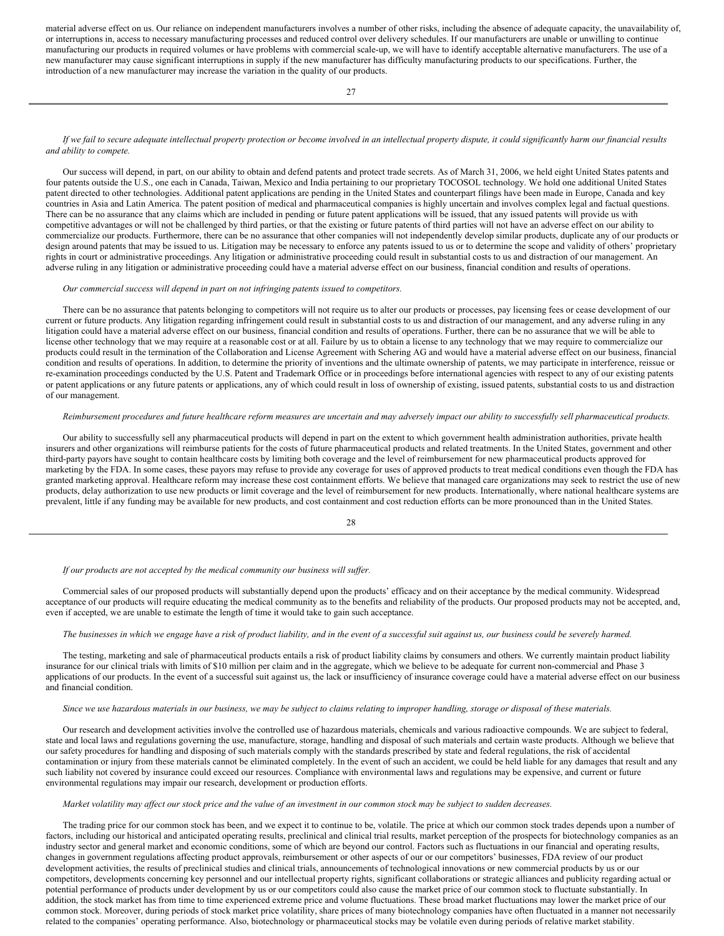material adverse effect on us. Our reliance on independent manufacturers involves a number of other risks, including the absence of adequate capacity, the unavailability of, or interruptions in, access to necessary manufacturing processes and reduced control over delivery schedules. If our manufacturers are unable or unwilling to continue manufacturing our products in required volumes or have problems with commercial scale-up, we will have to identify acceptable alternative manufacturers. The use of a new manufacturer may cause significant interruptions in supply if the new manufacturer has difficulty manufacturing products to our specifications. Further, the introduction of a new manufacturer may increase the variation in the quality of our products.

#### If we fail to secure adequate intellectual property protection or become involved in an intellectual property dispute, it could significantly harm our financial results *and ability to compete.*

Our success will depend, in part, on our ability to obtain and defend patents and protect trade secrets. As of March 31, 2006, we held eight United States patents and four patents outside the U.S., one each in Canada, Taiwan, Mexico and India pertaining to our proprietary TOCOSOL technology. We hold one additional United States patent directed to other technologies. Additional patent applications are pending in the United States and counterpart filings have been made in Europe, Canada and key countries in Asia and Latin America. The patent position of medical and pharmaceutical companies is highly uncertain and involves complex legal and factual questions. There can be no assurance that any claims which are included in pending or future patent applications will be issued, that any issued patents will provide us with competitive advantages or will not be challenged by third parties, or that the existing or future patents of third parties will not have an adverse effect on our ability to commercialize our products. Furthermore, there can be no assurance that other companies will not independently develop similar products, duplicate any of our products or design around patents that may be issued to us. Litigation may be necessary to enforce any patents issued to us or to determine the scope and validity of others' proprietary rights in court or administrative proceedings. Any litigation or administrative proceeding could result in substantial costs to us and distraction of our management. An adverse ruling in any litigation or administrative proceeding could have a material adverse effect on our business, financial condition and results of operations.

#### *Our commercial success will depend in part on not infringing patents issued to competitors.*

There can be no assurance that patents belonging to competitors will not require us to alter our products or processes, pay licensing fees or cease development of our current or future products. Any litigation regarding infringement could result in substantial costs to us and distraction of our management, and any adverse ruling in any litigation could have a material adverse effect on our business, financial condition and results of operations. Further, there can be no assurance that we will be able to license other technology that we may require at a reasonable cost or at all. Failure by us to obtain a license to any technology that we may require to commercialize our products could result in the termination of the Collaboration and License Agreement with Schering AG and would have a material adverse effect on our business, financial condition and results of operations. In addition, to determine the priority of inventions and the ultimate ownership of patents, we may participate in interference, reissue or re-examination proceedings conducted by the U.S. Patent and Trademark Office or in proceedings before international agencies with respect to any of our existing patents or patent applications or any future patents or applications, any of which could result in loss of ownership of existing, issued patents, substantial costs to us and distraction of our management.

#### Reimbursement procedures and future healthcare reform measures are uncertain and may adversely impact our ability to successfully sell pharmaceutical products.

Our ability to successfully sell any pharmaceutical products will depend in part on the extent to which government health administration authorities, private health insurers and other organizations will reimburse patients for the costs of future pharmaceutical products and related treatments. In the United States, government and other third-party payors have sought to contain healthcare costs by limiting both coverage and the level of reimbursement for new pharmaceutical products approved for marketing by the FDA. In some cases, these payors may refuse to provide any coverage for uses of approved products to treat medical conditions even though the FDA has granted marketing approval. Healthcare reform may increase these cost containment efforts. We believe that managed care organizations may seek to restrict the use of new products, delay authorization to use new products or limit coverage and the level of reimbursement for new products. Internationally, where national healthcare systems are prevalent, little if any funding may be available for new products, and cost containment and cost reduction efforts can be more pronounced than in the United States.

28

#### If our products are not accepted by the medical community our business will suffer.

Commercial sales of our proposed products will substantially depend upon the products' efficacy and on their acceptance by the medical community. Widespread acceptance of our products will require educating the medical community as to the benefits and reliability of the products. Our proposed products may not be accepted, and, even if accepted, we are unable to estimate the length of time it would take to gain such acceptance.

#### The businesses in which we engage have a risk of product liability, and in the event of a successful suit against us, our business could be severely harmed.

The testing, marketing and sale of pharmaceutical products entails a risk of product liability claims by consumers and others. We currently maintain product liability insurance for our clinical trials with limits of \$10 million per claim and in the aggregate, which we believe to be adequate for current non-commercial and Phase 3 applications of our products. In the event of a successful suit against us, the lack or insufficiency of insurance coverage could have a material adverse effect on our business and financial condition.

#### Since we use hazardous materials in our business, we may be subject to claims relating to improper handling, storage or disposal of these materials.

Our research and development activities involve the controlled use of hazardous materials, chemicals and various radioactive compounds. We are subject to federal, state and local laws and regulations governing the use, manufacture, storage, handling and disposal of such materials and certain waste products. Although we believe that our safety procedures for handling and disposing of such materials comply with the standards prescribed by state and federal regulations, the risk of accidental contamination or injury from these materials cannot be eliminated completely. In the event of such an accident, we could be held liable for any damages that result and any such liability not covered by insurance could exceed our resources. Compliance with environmental laws and regulations may be expensive, and current or future environmental regulations may impair our research, development or production efforts.

### Market volatility may affect our stock price and the value of an investment in our common stock may be subject to sudden decreases.

The trading price for our common stock has been, and we expect it to continue to be, volatile. The price at which our common stock trades depends upon a number of factors, including our historical and anticipated operating results, preclinical and clinical trial results, market perception of the prospects for biotechnology companies as an industry sector and general market and economic conditions, some of which are beyond our control. Factors such as fluctuations in our financial and operating results, changes in government regulations affecting product approvals, reimbursement or other aspects of our or our competitors' businesses, FDA review of our product development activities, the results of preclinical studies and clinical trials, announcements of technological innovations or new commercial products by us or our competitors, developments concerning key personnel and our intellectual property rights, significant collaborations or strategic alliances and publicity regarding actual or potential performance of products under development by us or our competitors could also cause the market price of our common stock to fluctuate substantially. In addition, the stock market has from time to time experienced extreme price and volume fluctuations. These broad market fluctuations may lower the market price of our common stock. Moreover, during periods of stock market price volatility, share prices of many biotechnology companies have often fluctuated in a manner not necessarily related to the companies' operating performance. Also, biotechnology or pharmaceutical stocks may be volatile even during periods of relative market stability.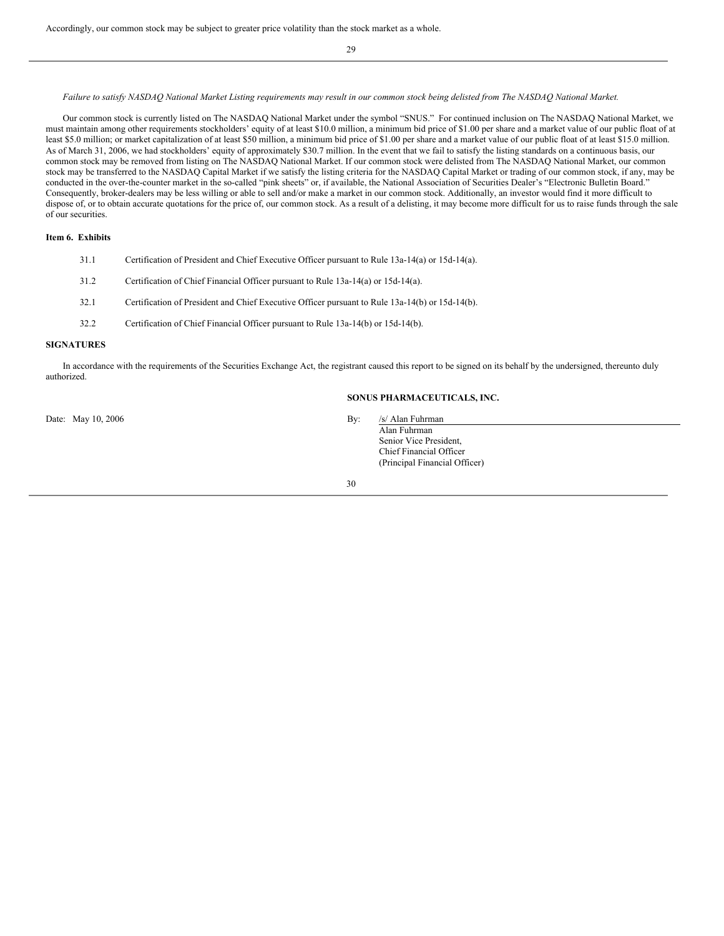29

Failure to satisfy NASDAQ National Market Listing requirements may result in our common stock being delisted from The NASDAQ National Market.

Our common stock is currently listed on The NASDAQ National Market under the symbol "SNUS." For continued inclusion on The NASDAQ National Market, we must maintain among other requirements stockholders' equity of at least \$10.0 million, a minimum bid price of \$1.00 per share and a market value of our public float of at least \$5.0 million; or market capitalization of at least \$50 million, a minimum bid price of \$1.00 per share and a market value of our public float of at least \$15.0 million. As of March 31, 2006, we had stockholders' equity of approximately \$30.7 million. In the event that we fail to satisfy the listing standards on a continuous basis, our common stock may be removed from listing on The NASDAQ National Market. If our common stock were delisted from The NASDAQ National Market, our common stock may be transferred to the NASDAQ Capital Market if we satisfy the listing criteria for the NASDAQ Capital Market or trading of our common stock, if any, may be conducted in the over-the-counter market in the so-called "pink sheets" or, if available, the National Association of Securities Dealer's "Electronic Bulletin Board." Consequently, broker-dealers may be less willing or able to sell and/or make a market in our common stock. Additionally, an investor would find it more difficult to dispose of, or to obtain accurate quotations for the price of, our common stock. As a result of a delisting, it may become more difficult for us to raise funds through the sale of our securities.

### **Item 6. Exhibits**

<span id="page-15-0"></span>

| 31.1 | Certification of President and Chief Executive Officer pursuant to Rule 13a-14(a) or 15d-14(a). |
|------|-------------------------------------------------------------------------------------------------|
| 31.2 | Certification of Chief Financial Officer pursuant to Rule $13a-14(a)$ or $15d-14(a)$ .          |
| 32.1 | Certification of President and Chief Executive Officer pursuant to Rule 13a-14(b) or 15d-14(b). |
| 32.2 | Certification of Chief Financial Officer pursuant to Rule 13a-14(b) or 15d-14(b).               |

#### **SIGNATURES**

In accordance with the requirements of the Securities Exchange Act, the registrant caused this report to be signed on its behalf by the undersigned, thereunto duly authorized.

## **SONUS PHARMACEUTICALS, INC.**

Date: May 10, 2006 By: /s/ Alan Fuhrman

Alan Fuhrman Senior Vice President, Chief Financial Officer (Principal Financial Officer)

30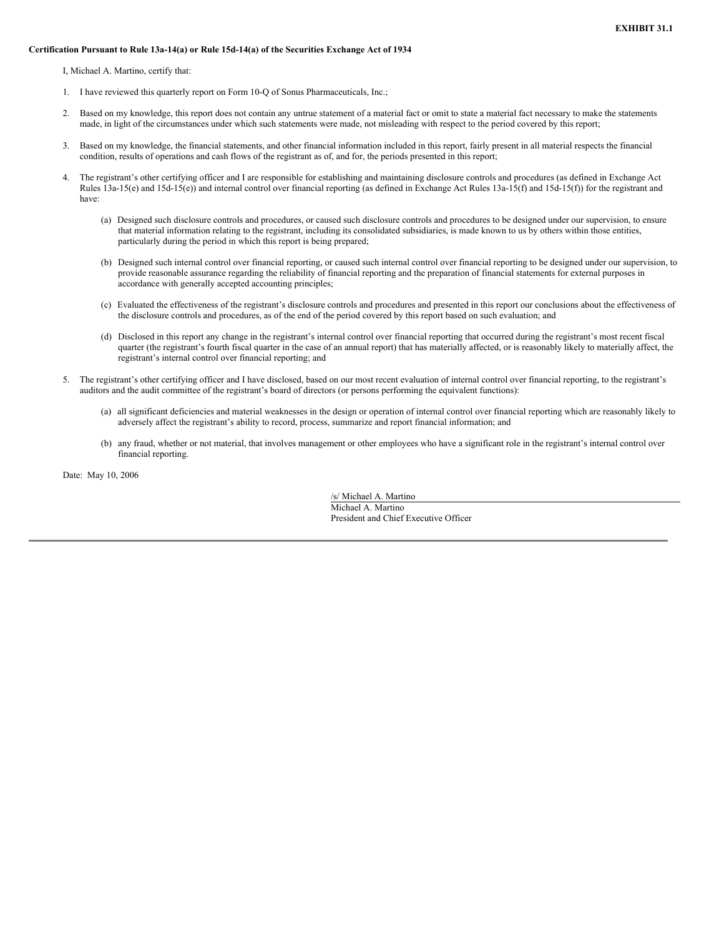#### **Certification Pursuant to Rule 13a-14(a) or Rule 15d-14(a) of the Securities Exchange Act of 1934**

I, Michael A. Martino, certify that:

- 1. I have reviewed this quarterly report on Form 10-Q of Sonus Pharmaceuticals, Inc.;
- 2. Based on my knowledge, this report does not contain any untrue statement of a material fact or omit to state a material fact necessary to make the statements made, in light of the circumstances under which such statements were made, not misleading with respect to the period covered by this report;
- 3. Based on my knowledge, the financial statements, and other financial information included in this report, fairly present in all material respects the financial condition, results of operations and cash flows of the registrant as of, and for, the periods presented in this report;
- 4. The registrant's other certifying officer and I are responsible for establishing and maintaining disclosure controls and procedures (as defined in Exchange Act Rules 13a-15(e) and 15d-15(e)) and internal control over financial reporting (as defined in Exchange Act Rules 13a-15(f) and 15d-15(f)) for the registrant and have:
	- (a) Designed such disclosure controls and procedures, or caused such disclosure controls and procedures to be designed under our supervision, to ensure that material information relating to the registrant, including its consolidated subsidiaries, is made known to us by others within those entities, particularly during the period in which this report is being prepared;
	- (b) Designed such internal control over financial reporting, or caused such internal control over financial reporting to be designed under our supervision, to provide reasonable assurance regarding the reliability of financial reporting and the preparation of financial statements for external purposes in accordance with generally accepted accounting principles;
	- (c) Evaluated the effectiveness of the registrant's disclosure controls and procedures and presented in this report our conclusions about the effectiveness of the disclosure controls and procedures, as of the end of the period covered by this report based on such evaluation; and
	- (d) Disclosed in this report any change in the registrant's internal control over financial reporting that occurred during the registrant's most recent fiscal quarter (the registrant's fourth fiscal quarter in the case of an annual report) that has materially affected, or is reasonably likely to materially affect, the registrant's internal control over financial reporting; and
- 5. The registrant's other certifying officer and I have disclosed, based on our most recent evaluation of internal control over financial reporting, to the registrant's auditors and the audit committee of the registrant's board of directors (or persons performing the equivalent functions):
	- (a) all significant deficiencies and material weaknesses in the design or operation of internal control over financial reporting which are reasonably likely to adversely affect the registrant's ability to record, process, summarize and report financial information; and
	- (b) any fraud, whether or not material, that involves management or other employees who have a significant role in the registrant's internal control over financial reporting.

Date: May 10, 2006

/s/ Michael A. Martino Michael A. Martino President and Chief Executive Officer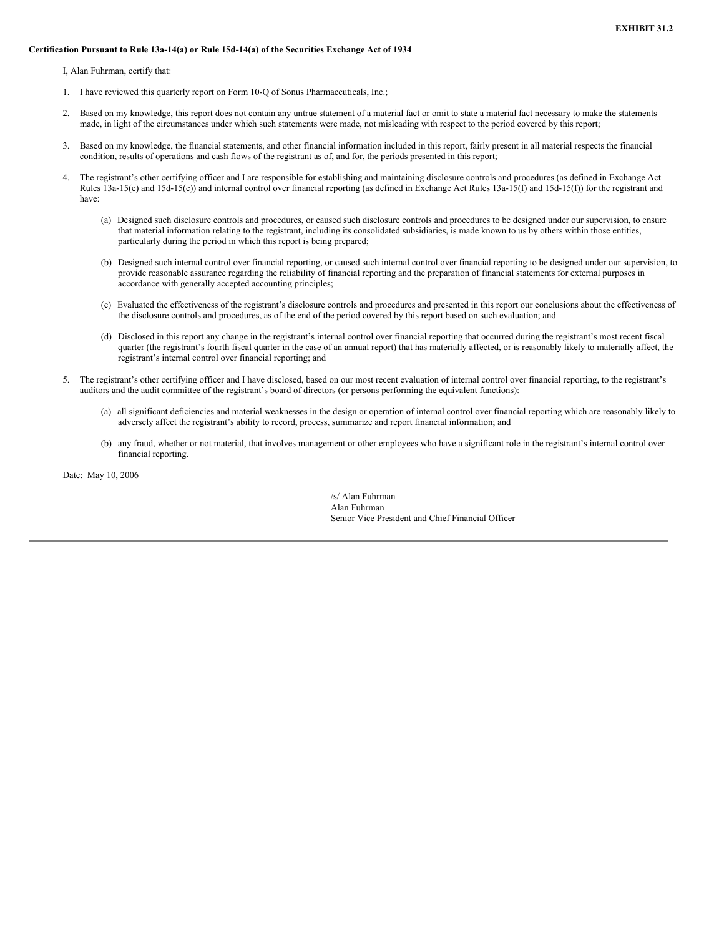#### **Certification Pursuant to Rule 13a-14(a) or Rule 15d-14(a) of the Securities Exchange Act of 1934**

I, Alan Fuhrman, certify that:

- 1. I have reviewed this quarterly report on Form 10-Q of Sonus Pharmaceuticals, Inc.;
- 2. Based on my knowledge, this report does not contain any untrue statement of a material fact or omit to state a material fact necessary to make the statements made, in light of the circumstances under which such statements were made, not misleading with respect to the period covered by this report;
- 3. Based on my knowledge, the financial statements, and other financial information included in this report, fairly present in all material respects the financial condition, results of operations and cash flows of the registrant as of, and for, the periods presented in this report;
- 4. The registrant's other certifying officer and I are responsible for establishing and maintaining disclosure controls and procedures (as defined in Exchange Act Rules 13a-15(e) and 15d-15(e)) and internal control over financial reporting (as defined in Exchange Act Rules 13a-15(f) and 15d-15(f)) for the registrant and have:
	- (a) Designed such disclosure controls and procedures, or caused such disclosure controls and procedures to be designed under our supervision, to ensure that material information relating to the registrant, including its consolidated subsidiaries, is made known to us by others within those entities, particularly during the period in which this report is being prepared;
	- (b) Designed such internal control over financial reporting, or caused such internal control over financial reporting to be designed under our supervision, to provide reasonable assurance regarding the reliability of financial reporting and the preparation of financial statements for external purposes in accordance with generally accepted accounting principles;
	- (c) Evaluated the effectiveness of the registrant's disclosure controls and procedures and presented in this report our conclusions about the effectiveness of the disclosure controls and procedures, as of the end of the period covered by this report based on such evaluation; and
	- (d) Disclosed in this report any change in the registrant's internal control over financial reporting that occurred during the registrant's most recent fiscal quarter (the registrant's fourth fiscal quarter in the case of an annual report) that has materially affected, or is reasonably likely to materially affect, the registrant's internal control over financial reporting; and
- 5. The registrant's other certifying officer and I have disclosed, based on our most recent evaluation of internal control over financial reporting, to the registrant's auditors and the audit committee of the registrant's board of directors (or persons performing the equivalent functions):
	- (a) all significant deficiencies and material weaknesses in the design or operation of internal control over financial reporting which are reasonably likely to adversely affect the registrant's ability to record, process, summarize and report financial information; and
	- (b) any fraud, whether or not material, that involves management or other employees who have a significant role in the registrant's internal control over financial reporting.

Date: May 10, 2006

/s/ Alan Fuhrman Alan Fuhrman Senior Vice President and Chief Financial Officer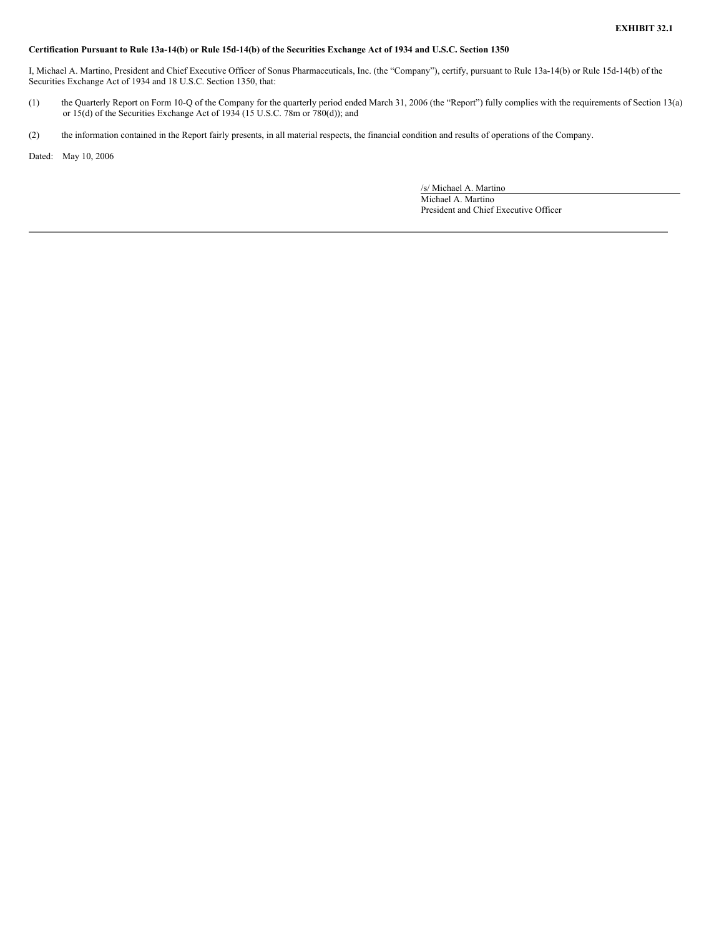#### Certification Pursuant to Rule 13a-14(b) or Rule 15d-14(b) of the Securities Exchange Act of 1934 and U.S.C. Section 1350

I, Michael A. Martino, President and Chief Executive Officer of Sonus Pharmaceuticals, Inc. (the "Company"), certify, pursuant to Rule 13a-14(b) or Rule 15d-14(b) of the Securities Exchange Act of 1934 and 18 U.S.C. Section 1350, that:

- (1) the Quarterly Report on Form 10-Q of the Company for the quarterly period ended March 31, 2006 (the "Report") fully complies with the requirements of Section 13(a) or 15(d) of the Securities Exchange Act of 1934 (15 U.S.C. 78m or 780(d)); and
- (2) the information contained in the Report fairly presents, in all material respects, the financial condition and results of operations of the Company.

Dated: May 10, 2006

/s/ Michael A. Martino Michael A. Martino President and Chief Executive Officer